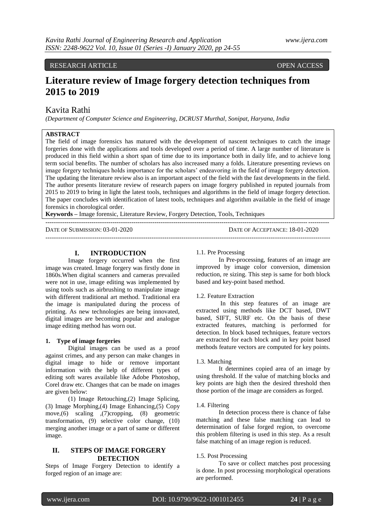# RESEARCH ARTICLE OPEN ACCESS

# **Literature review of Image forgery detection techniques from 2015 to 2019**

# Kavita Rathi

*(Department of Computer Science and Engineering, DCRUST Murthal, Sonipat, Haryana, India*

### **ABSTRACT**

The field of image forensics has matured with the development of nascent techniques to catch the image forgeries done with the applications and tools developed over a period of time. A large number of literature is produced in this field within a short span of time due to its importance both in daily life, and to achieve long term social benefits. The number of scholars has also increased many a folds. Literature presenting reviews on image forgery techniques holds importance for the scholars" endeavoring in the field of image forgery detection. The updating the literature review also is an important aspect of the field with the fast developments in the field. The author presents literature review of research papers on image forgery published in reputed journals from 2015 to 2019 to bring in light the latest tools, techniques and algorithms in the field of image forgery detection. The paper concludes with identification of latest tools, techniques and algorithm available in the field of image forensics in chorological order.

--------------------------------------------------------------------------------------------------------------------------------------

**Keywords –** Image forensic, Literature Review, Forgery Detection, Tools, Techniques

DATE OF SUBMISSION: 03-01-2020 DATE OF ACCEPTANCE: 18-01-2020

---------------------------------------------------------------------------------------------------------------------------------------

#### **I. INTRODUCTION**

Image forgery occurred when the first image was created. Image forgery was firstly done in 1860s.When digital scanners and cameras prevailed were not in use, image editing was implemented by using tools such as airbrushing to manipulate image with different traditional art method. Traditional era the image is manipulated during the process of printing. As new technologies are being innovated, digital images are becoming popular and analogue image editing method has worn out.

#### **1. Type of image forgeries**

Digital images can be used as a proof against crimes, and any person can make changes in digital image to hide or remove important information with the help of different types of editing soft wares available like Adobe Photoshop, Corel draw etc. Changes that can be made on images are given below:

(1) Image Retouching,(2) Image Splicing, (3) Image Morphing,(4) Image Enhancing,(5) Copy move,(6) scaling ,(7)cropping, (8) geometric transformation, (9) selective color change, (10) merging another image or a part of same or different image.

## **II. STEPS OF IMAGE FORGERY DETECTION**

Steps of Image Forgery Detection to identify a forged region of an image are:

#### 1.1. Pre Processing

In Pre-processing, features of an image are improved by image color conversion, dimension reduction, re sizing. This step is same for both block based and key-point based method.

#### 1.2. Feature Extraction

In this step features of an image are extracted using methods like DCT based, DWT based, SIFT, SURF etc. On the basis of these extracted features, matching is performed for detection. In block based techniques, feature vectors are extracted for each block and in key point based methods feature vectors are computed for key points.

#### 1.3. Matching

It determines copied area of an image by using threshold. If the value of matching blocks and key points are high then the desired threshold then those portion of the image are considers as forged.

#### 1.4. Filtering

In detection process there is chance of false matching and these false matching can lead to determination of false forged region, to overcome this problem filtering is used in this step. As a result false matching of an image region is reduced.

#### 1.5. Post Processing

To save or collect matches post processing is done. In post processing morphological operations are performed.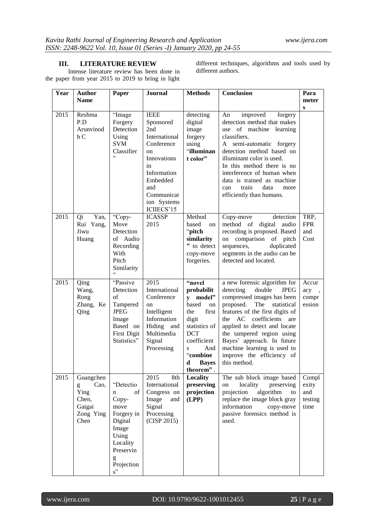# **III. LITERATURE REVIEW**

Intense literature review has been done in the paper from year 2015 to 2019 to bring in light

different techniques, algorithms and tools used by different authors.

| Year | <b>Author</b><br><b>Name</b>                                           | Paper                                                                                                                                        | <b>Journal</b>                                                                                                                                                                  | <b>Methods</b>                                                                                                                                                                              | Conclusion                                                                                                                                                                                                                                                                                                                                                               | Para<br>meter                            |
|------|------------------------------------------------------------------------|----------------------------------------------------------------------------------------------------------------------------------------------|---------------------------------------------------------------------------------------------------------------------------------------------------------------------------------|---------------------------------------------------------------------------------------------------------------------------------------------------------------------------------------------|--------------------------------------------------------------------------------------------------------------------------------------------------------------------------------------------------------------------------------------------------------------------------------------------------------------------------------------------------------------------------|------------------------------------------|
| 2015 | Reshma<br>P.D<br>Arunvinod<br>hC                                       | "Image<br>Forgery<br>Detection<br>Using<br><b>SVM</b><br>Classifier<br>,                                                                     | <b>IEEE</b><br>Sponsored<br>2nd<br>International<br>Conference<br>$_{\rm on}$<br>Innovations<br>in<br>Information<br>Embedded<br>and<br>Communicat<br>ion Systems<br>ICIIECS'15 | detecting<br>digital<br>image<br>forgery<br>using<br>"illuminan<br>t color"                                                                                                                 | improved<br>An<br>forgery<br>detection method that makes<br>use of machine learning<br>classifiers.<br>A semi-automatic forgery<br>detection method based on<br>illuminant color is used.<br>In this method there is no<br>interference of human when<br>data is trained as machine<br>train<br>data<br>can<br>more<br>efficiently than humans.                          | ${\bf S}$                                |
| 2015 | Yan,<br>Qi<br>Rui Yang,<br>Jiwu<br>Huang                               | "Copy-<br>Move<br>Detection<br>of Audio<br>Recording<br>With<br>Pitch<br>Similarity                                                          | <b>ICASSP</b><br>2015                                                                                                                                                           | Method<br>based<br>on<br>$\lq\lq$ pitch<br>similarity<br>" to detect<br>copy-move<br>forgeries.                                                                                             | detection<br>Copy-move<br>method of<br>digital audio<br>recording is proposed. Based<br>on comparison of pitch<br>duplicated<br>sequences,<br>segments in the audio can be<br>detected and located.                                                                                                                                                                      | TRP,<br><b>FPR</b><br>and<br>Cost        |
| 2015 | Qing<br>Wang,<br>Rong<br>Zhang, Ke<br>Qing                             | "Passive<br>Detection<br>of<br>Tampered<br><b>JPEG</b><br>Image<br>Based on<br>First Digit<br>Statistics"                                    | 2015<br>International<br>Conference<br>on<br>Intelligent<br>Information<br>Hiding and<br>Multimedia<br>Signal<br>Processing                                                     | "novel<br>probabilit<br>y model"<br>based<br>on<br>first<br>the<br>digit<br>statistics of<br><b>DCT</b><br>coefficient<br>And<br>$\mathbf{s}$<br>"combine<br><b>Bayes</b><br>d<br>theorem". | a new forensic algorithm for<br>detecting<br>double<br><b>JPEG</b><br>compressed images has been<br>proposed.<br>The<br>statistical<br>features of the first digits of<br>the AC coefficients are<br>applied to detect and locate<br>the tampered region using<br>Bayes' approach. In future<br>machine learning is used to<br>improve the efficiency of<br>this method. | Accur<br>acy,<br>compr<br>ession         |
| 2015 | Guangchen<br>Cao,<br>g<br>Ying<br>Chen,<br>Gaigai<br>Zong Ying<br>Chen | "Detectio<br>of<br>$\mathbf n$<br>Copy-<br>move<br>Forgery in<br>Digital<br>Image<br>Using<br>Locality<br>Preservin<br>g<br>Projection<br>s" | 2015<br>8th<br>International<br>Congress on<br>Image<br>and<br>Signal<br>Processing<br>(CISP 2015)                                                                              | Locality<br>preserving<br>projection<br>(LPP)                                                                                                                                               | The sub block image based<br>locality<br>preserving<br>on<br>algorithm<br>projection<br>to<br>replace the image block gray<br>information<br>copy-move<br>passive forensics method is<br>used.                                                                                                                                                                           | Compl<br>exity<br>and<br>testing<br>time |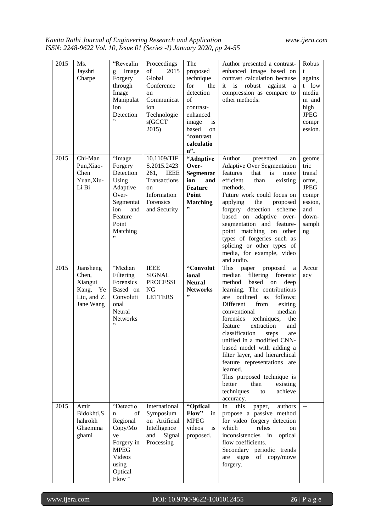| 2015 | Ms.                 | "Revealin              | Proceedings                         | The                          | Author presented a contrast-                                     | Robus                |
|------|---------------------|------------------------|-------------------------------------|------------------------------|------------------------------------------------------------------|----------------------|
|      | Jayshri<br>Charpe   | Image<br>g<br>Forgery  | of<br>2015<br>Global                | proposed<br>technique        | enhanced image based on<br>contrast calculation because          | t<br>agains          |
|      |                     | through<br>Image       | Conference<br><sub>on</sub>         | for<br>the<br>detection      | is<br>robust<br>against<br>it<br>a<br>compression as compare to  | t low<br>mediu       |
|      |                     | Manipulat              | Communicat                          | of                           | other methods.                                                   | m and                |
|      |                     | ion                    | ion                                 | contrast-                    |                                                                  | high                 |
|      |                     | Detection<br>,         | Technologie<br>s(GCCT)              | enhanced<br>image<br>is      |                                                                  | <b>JPEG</b><br>compr |
|      |                     |                        | 2015)                               | based<br><sub>on</sub>       |                                                                  | ession.              |
|      |                     |                        |                                     | "contrast                    |                                                                  |                      |
|      |                     |                        |                                     | calculatio<br>$n$ ".         |                                                                  |                      |
| 2015 | Chi-Man             | "Image                 | 10.1109/TIF                         | "Adaptive                    | Author<br>presented<br>an                                        | geome                |
|      | Pun, Xiao-          | Forgery                | S.2015.2423                         | Over-                        | <b>Adaptive Over Segmentation</b>                                | tric                 |
|      | Chen<br>Yuan,Xiu-   | Detection              | 261,<br><b>IEEE</b><br>Transactions | Segmentat                    | features<br>that<br>is<br>more<br>efficient<br>than              | transf               |
|      | Li Bi               | Using<br>Adaptive      | $_{\rm on}$                         | ion<br>and<br><b>Feature</b> | existing<br>methods.                                             | orms.<br><b>JPEG</b> |
|      |                     | Over-                  | Information                         | <b>Point</b>                 | Future work could focus on                                       | compr                |
|      |                     | Segmentat              | Forensics                           | <b>Matching</b><br>,,        | applying<br>the<br>proposed                                      | ession,              |
|      |                     | ion<br>and<br>Feature  | and Security                        |                              | forgery detection scheme<br>based on adaptive over-              | and<br>down-         |
|      |                     | Point                  |                                     |                              | segmentation and feature-                                        | sampli               |
|      |                     | Matching               |                                     |                              | point matching on other                                          | ng                   |
|      |                     |                        |                                     |                              | types of forgeries such as                                       |                      |
|      |                     |                        |                                     |                              | splicing or other types of<br>media, for example, video          |                      |
|      |                     |                        |                                     |                              | and audio.                                                       |                      |
| 2015 | Jiansheng           | "Median                | <b>IEEE</b>                         | "Convolut                    | proposed<br>This<br>paper<br>a                                   | Accur                |
|      | Chen,<br>Xiangui    | Filtering<br>Forensics | <b>SIGNAL</b><br><b>PROCESSI</b>    | ional<br><b>Neural</b>       | filtering<br>forensic<br>median<br>based<br>on<br>method<br>deep | acy                  |
|      | Kang,<br>Ye         | Based on               | NG                                  | <b>Networks</b>              | learning. The contributions                                      |                      |
|      | Liu, and Z.         | Convoluti              | <b>LETTERS</b>                      | ,,                           | outlined<br>as follows:<br>are                                   |                      |
|      | Jane Wang           | onal<br>Neural         |                                     |                              | Different<br>from<br>exiting<br>conventional<br>median           |                      |
|      |                     | <b>Networks</b>        |                                     |                              | forensics<br>techniques,<br>the                                  |                      |
|      |                     | , ,                    |                                     |                              | feature<br>extraction<br>and                                     |                      |
|      |                     |                        |                                     |                              | classification<br>steps<br>are                                   |                      |
|      |                     |                        |                                     |                              | unified in a modified CNN-<br>based model with adding a          |                      |
|      |                     |                        |                                     |                              | filter layer, and hierarchical                                   |                      |
|      |                     |                        |                                     |                              | feature representations are                                      |                      |
|      |                     |                        |                                     |                              | learned.<br>This purposed technique is                           |                      |
|      |                     |                        |                                     |                              | better<br>than<br>existing                                       |                      |
|      |                     |                        |                                     |                              | techniques<br>achieve<br>to                                      |                      |
|      |                     |                        |                                     |                              | accuracy.                                                        |                      |
| 2015 | Amir<br>Bidokhti, S | "Detectio<br>of<br>n   | International<br>Symposium          | "Optical<br>Flow"<br>in      | In<br>this<br>authors<br>paper,<br>propose a passive method      | $\overline{a}$       |
|      | hahrokh             | Regional               | on Artificial                       | <b>MPEG</b>                  | for video forgery detection                                      |                      |
|      | Ghaemma             | Copy/Mo                | Intelligence                        | videos<br>is                 | which<br>relies<br>on                                            |                      |
|      | ghami               | ve<br>Forgery in       | and<br>Signal<br>Processing         | proposed.                    | inconsistencies in<br>optical<br>flow coefficients.              |                      |
|      |                     | <b>MPEG</b>            |                                     |                              | Secondary periodic trends                                        |                      |
|      |                     | Videos                 |                                     |                              | of copy/move<br>signs<br>are                                     |                      |
|      |                     | using                  |                                     |                              | forgery.                                                         |                      |
|      |                     | Optical<br>Flow"       |                                     |                              |                                                                  |                      |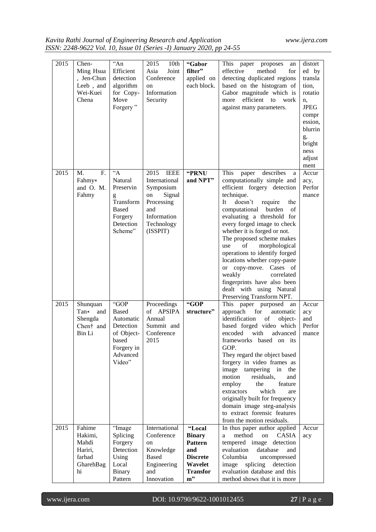*Kavita Rathi Journal of Engineering Research and Application www.ijera.com ISSN: 2248-9622 Vol. 10, Issue 01 (Series -I) January 2020, pp 24-55*

| 2015 | Chen-<br>Ming Hsua<br>, Jen-Chun<br>Leeb, and<br>Wei-Kuei<br>Chena | $A_n$<br>Efficient<br>detection<br>algorithm<br>for Copy-<br>Move<br>Forgery"                               | 2015<br>10 <sub>th</sub><br>Joint<br>Asia<br>Conference<br><sub>on</sub><br>Information<br>Security                             | "Gabor<br>filter"<br>applied on<br>each block.                                                             | This<br>paper<br>proposes<br>an<br>effective<br>method<br>for<br>detecting duplicated regions<br>based on the histogram of<br>Gabor magnitude which is<br>efficient to<br>more<br>work<br>against many parameters.                                                                                                                                                                                                                                                                                                                                   | distort<br>ed by<br>transla<br>tion,<br>rotatio<br>n,<br><b>JPEG</b><br>compr<br>ession,<br>blurrin<br>g,<br>bright<br>ness<br>adjust<br>ment |
|------|--------------------------------------------------------------------|-------------------------------------------------------------------------------------------------------------|---------------------------------------------------------------------------------------------------------------------------------|------------------------------------------------------------------------------------------------------------|------------------------------------------------------------------------------------------------------------------------------------------------------------------------------------------------------------------------------------------------------------------------------------------------------------------------------------------------------------------------------------------------------------------------------------------------------------------------------------------------------------------------------------------------------|-----------------------------------------------------------------------------------------------------------------------------------------------|
| 2015 | M.<br>F.<br>Fahmy*<br>and O. M.<br>Fahmy                           | $\overline{A}$<br>Natural<br>Preservin<br>g<br>Transform<br><b>Based</b><br>Forgery<br>Detection<br>Scheme" | 2015<br><b>IEEE</b><br>International<br>Symposium<br>Signal<br>on<br>Processing<br>and<br>Information<br>Technology<br>(ISSPIT) | "PRNU<br>and NPT"                                                                                          | This<br>describes<br>paper<br>a<br>computationally simple and<br>efficient forgery detection<br>technique.<br>It<br>doesn't<br>require<br>the<br>computational<br>burden<br>of<br>evaluating a threshold for<br>every forged image to check<br>whether it is forged or not.<br>The proposed scheme makes<br>of<br>morphological<br>use<br>operations to identify forged<br>locations whether copy-paste<br>Cases of<br>or copy-move.<br>weakly<br>correlated<br>fingerprints have also been<br>dealt with using Natural<br>Preserving Transform NPT. | Accur<br>acy,<br>Perfor<br>mance                                                                                                              |
| 2015 | Shunquan<br>$Tan*$<br>and<br>Shengda<br>Chen† and<br>Bin Li        | "GOP<br><b>Based</b><br>Automatic<br>Detection<br>of Object-<br>based<br>Forgery in<br>Advanced<br>Video"   | Proceedings<br><b>APSIPA</b><br>of<br>Annual<br>Summit and<br>Conference<br>2015                                                | "GOP<br>structure"                                                                                         | This<br>paper purposed<br>an<br>approach<br>for<br>automatic<br>identification<br>of<br>object-<br>based forged video which<br>encoded<br>with<br>advanced<br>frameworks based on its<br>GOP.<br>They regard the object based<br>forgery in video frames as<br>image<br>tampering in<br>the<br>motion<br>residuals,<br>and<br>the<br>feature<br>employ<br>extractors<br>which<br>are<br>originally built for frequency<br>domain image steg-analysis<br>to extract forensic features<br>from the motion residuals.                                   | Accur<br>acy<br>and<br>Perfor<br>mance                                                                                                        |
| 2015 | Fahime<br>Hakimi,<br>Mahdi<br>Hariri,<br>farhad<br>GharehBag<br>hi | "Image<br>Splicing<br>Forgery<br>Detection<br>Using<br>Local<br><b>Binary</b><br>Pattern                    | International<br>Conference<br>on<br>Knowledge<br><b>Based</b><br>Engineering<br>and<br>Innovation                              | "Local<br><b>Binary</b><br><b>Pattern</b><br>and<br><b>Discrete</b><br>Wavelet<br><b>Transfor</b><br>$m$ " | In thus paper author applied<br>method<br>on<br>CASIA<br>a<br>tempered image<br>detection<br>evaluation<br>database<br>and<br>Columbia<br>uncompressed<br>splicing<br>detection<br>image<br>evaluation database and this<br>method shows that it is more                                                                                                                                                                                                                                                                                             | Accur<br>acy                                                                                                                                  |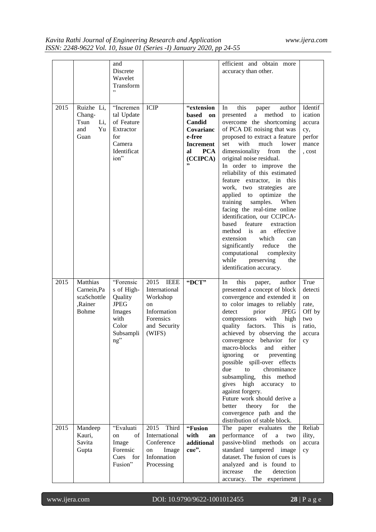|      |                                                                   | and<br>Discrete<br>Wavelet<br>Transform                                                                        |                                                                                                                         |                                                                                                         | efficient and obtain more<br>accuracy than other.                                                                                                                                                                                                                                                                                                                                                                                                                                                                                                                                                                                                                                                                                            |                                                                           |
|------|-------------------------------------------------------------------|----------------------------------------------------------------------------------------------------------------|-------------------------------------------------------------------------------------------------------------------------|---------------------------------------------------------------------------------------------------------|----------------------------------------------------------------------------------------------------------------------------------------------------------------------------------------------------------------------------------------------------------------------------------------------------------------------------------------------------------------------------------------------------------------------------------------------------------------------------------------------------------------------------------------------------------------------------------------------------------------------------------------------------------------------------------------------------------------------------------------------|---------------------------------------------------------------------------|
| 2015 | Ruizhe Li,<br>Chang-<br>Tsun<br>Li,<br>Yu<br>and<br>Guan          | "Incremen<br>tal Update<br>of Feature<br>Extractor<br>for<br>Camera<br>Identificat<br>ion"                     | <b>ICIP</b>                                                                                                             | "extension<br>based<br>on<br>Candid<br>Covarianc<br>e-free<br>Increment<br><b>PCA</b><br>al<br>(CCIPCA) | this<br>In<br>author<br>paper<br>method<br>presented<br>a<br>to<br>overcome the shortcoming<br>of PCA DE noising that was<br>proposed to extract a feature<br>with<br>set<br>much<br>lower<br>dimensionality<br>from<br>the<br>original noise residual.<br>In order to improve the<br>reliability of this estimated<br>feature extractor, in<br>this<br>work, two strategies<br>are<br>applied to<br>optimize<br>the<br>training<br>samples.<br>When<br>facing the real-time online<br>identification, our CCIPCA-<br>based<br>feature<br>extraction<br>method is<br>effective<br>an<br>which<br>extension<br>can<br>significantly<br>reduce<br>the<br>computational<br>complexity<br>while<br>preserving<br>the<br>identification accuracy. | Identif<br>ication<br>accura<br>cy,<br>perfor<br>mance<br>, cost          |
| 2015 | Matthias<br>Carnein, Pa<br>scaSchottle<br>,Rainer<br><b>Bohme</b> | "Forensic<br>s of High-<br>Quality<br><b>JPEG</b><br>Images<br>with<br>Color<br>Subsampli<br>$ng$ <sup>"</sup> | 2015<br><b>IEEE</b><br>International<br>Workshop<br><sub>on</sub><br>Information<br>Forensics<br>and Security<br>(WIFS) | "DCT"                                                                                                   | this<br>In<br>author<br>paper,<br>presented a concept of block<br>convergence and extended it<br>to color images to reliably<br>prior<br>JPEG<br>detect<br>compressions<br>with<br>high<br>factors.<br>This<br>quality<br>is<br>achieved by observing the<br>convergence behavior for<br>macro-blocks<br>and<br>either<br>ignoring<br>preventing<br><b>or</b><br>possible spill-over effects<br>due<br>to<br>chrominance<br>subsampling, this method<br>gives high<br>accuracy to<br>against forgery.<br>Future work should derive a<br>theory<br>for<br>better<br>the<br>convergence path and the<br>distribution of stable block.                                                                                                          | True<br>detecti<br>on<br>rate,<br>Off by<br>two<br>ratio,<br>accura<br>cy |
| 2015 | Mandeep<br>Kauri,<br>Savita<br>Gupta                              | "Evaluati<br>of<br>on<br>Image<br>Forensic<br>Cues for<br>Fusion"                                              | 2015 Third<br>International<br>Conference<br>Image<br>on<br>Infonnation<br>Processing                                   | "Fusion<br>with<br>an<br>additional<br>cue".                                                            | The paper evaluates<br>the<br>performance<br>of<br>a<br>two<br>passive-blind<br>methods<br>on<br>standard<br>tampered image<br>dataset. The fusion of cues is<br>analyzed and is found to<br>increase<br>the<br>detection<br>The experiment<br>accuracy.                                                                                                                                                                                                                                                                                                                                                                                                                                                                                     | Reliab<br>ility,<br>accura<br>cy                                          |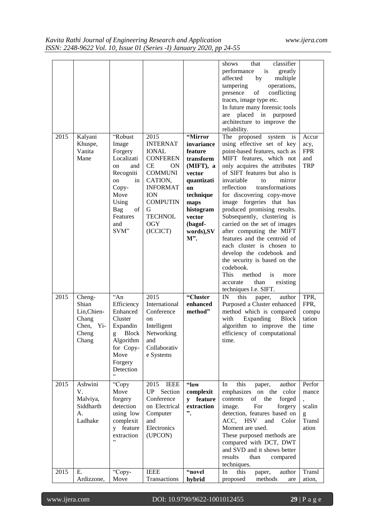| 2015 | Kalyani<br>Khuspe,<br>Vanita<br>Mane                                         | "Robust<br>Image<br>Forgery<br>Localizati<br>and<br>on<br>Recogniti<br>on<br>in<br>Copy-<br>Move<br>Using<br>of<br>Bag<br>Features<br>and<br>SVM" | 2015<br><b>INTERNAT</b><br><b>IONAL</b><br><b>CONFEREN</b><br><b>CE</b><br>ON<br><b>COMMUNI</b><br>CATION,<br><b>INFORMAT</b><br><b>ION</b><br><b>COMPUTIN</b><br>G<br><b>TECHNOL</b><br><b>OGY</b><br>(ICCICT) | "Mirror<br>invariance<br>feature<br>transform<br>(MIFT), a<br>vector<br>quantizati<br>on<br>technique<br>maps<br>histogram<br>vector<br>(bagof-<br>words), SV<br>M". | classifier<br>shows<br>that<br>performance<br>is<br>greatly<br>affected<br>by<br>multiple<br>operations,<br>tampering<br>conflicting<br>of<br>presence<br>traces, image type etc.<br>In future many forensic tools<br>are placed in purposed<br>architecture to improve the<br>reliability.<br>The proposed<br>system<br>1S<br>using effective set of key<br>point-based features, such as<br>MIFT features, which not<br>only acquires the attributes<br>of SIFT features but also is<br>invariable<br>mirror<br>to<br>reflection<br>transformations<br>for discovering copy-move<br>image forgeries that has<br>produced promising results.<br>Subsequently, clustering is<br>carried on the set of images<br>after computing the MIFT<br>features and the centroid of<br>each cluster is chosen to<br>develop the codebook and<br>the security is based on the<br>codebook.<br>This<br>method<br>is<br>more<br>than<br>existing<br>accurate<br>techniques I.e. SIFT. | Accur<br>acy,<br><b>FPR</b><br>and<br><b>TRP</b>  |
|------|------------------------------------------------------------------------------|---------------------------------------------------------------------------------------------------------------------------------------------------|-----------------------------------------------------------------------------------------------------------------------------------------------------------------------------------------------------------------|----------------------------------------------------------------------------------------------------------------------------------------------------------------------|-------------------------------------------------------------------------------------------------------------------------------------------------------------------------------------------------------------------------------------------------------------------------------------------------------------------------------------------------------------------------------------------------------------------------------------------------------------------------------------------------------------------------------------------------------------------------------------------------------------------------------------------------------------------------------------------------------------------------------------------------------------------------------------------------------------------------------------------------------------------------------------------------------------------------------------------------------------------------|---------------------------------------------------|
| 2015 | Cheng-<br>Shian<br>Lin, Chien-<br>Chang<br>Chen,<br>$Y$ i-<br>Cheng<br>Chang | $A_n$<br>Efficiency<br>Enhanced<br>Cluster<br>Expandin<br><b>Block</b><br>g<br>Algorithm<br>for Copy-<br>Move<br>Forgery<br>Detection<br>, ,      | 2015<br>International<br>Conference<br>on<br>Intelligent<br>Networking<br>and<br>Collaborativ<br>e Systems                                                                                                      | "Cluster<br>enhanced<br>method"                                                                                                                                      | IN<br>this<br>author<br>paper,<br>Purposed a Cluster enhanced<br>method which is compared<br>Expanding<br>with<br><b>Block</b><br>algorithm to improve the<br>efficiency of computational<br>time.                                                                                                                                                                                                                                                                                                                                                                                                                                                                                                                                                                                                                                                                                                                                                                      | TPR,<br>FPR,<br>compu<br>tation<br>time           |
| 2015 | Ashwini<br>V.<br>Malviya,<br>Siddharth<br>А.<br>Ladhake                      | "Copy<br>Move<br>forgery<br>detection<br>using low<br>complexit<br>y feature<br>extraction<br>,                                                   | 2015<br><b>IEEE</b><br>UP<br>Section<br>Conference<br>on Electrical<br>Computer<br>and<br>Electronics<br>(UPCON)                                                                                                | "low<br>complexit<br>y feature<br>extraction<br>".                                                                                                                   | this<br>In<br>author<br>paper,<br>emphasizes on the color<br>of the<br>contents<br>forged<br>For<br>image.<br>forgery<br>detection, features based on<br>ACC, HSV<br>and<br>Color<br>Moment are used.<br>These purposed methods are<br>compared with DCT, DWT<br>and SVD and it shows better<br>results<br>than<br>compared<br>techniques.                                                                                                                                                                                                                                                                                                                                                                                                                                                                                                                                                                                                                              | Perfor<br>mance<br>scalin<br>g<br>Transl<br>ation |
| 2015 | Ε.<br>Ardizzone,                                                             | "Copy-<br>Move                                                                                                                                    | <b>IEEE</b><br>Transactions                                                                                                                                                                                     | "novel<br>hybrid                                                                                                                                                     | this<br>In<br>paper,<br>author<br>proposed<br>methods<br>are                                                                                                                                                                                                                                                                                                                                                                                                                                                                                                                                                                                                                                                                                                                                                                                                                                                                                                            | Transl<br>ation,                                  |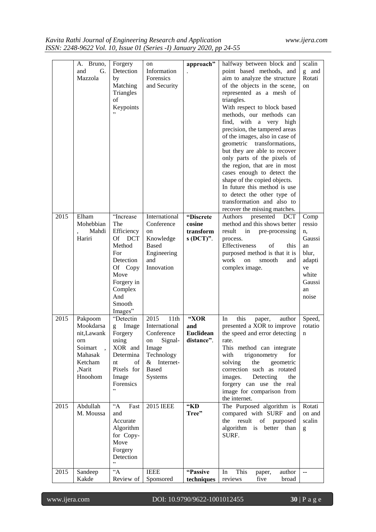| 2015 | A. Bruno,<br>and<br>G.<br>Mazzola<br>Elham<br>Mohebbian                                          | Forgery<br>Detection<br>by<br>Matching<br>Triangles<br>of<br>Keypoints<br>"Increase<br>The                                           | on<br>Information<br>Forensics<br>and Security<br>International<br>Conference                                            | approach"<br>"Discrete<br>cosine              | halfway between block and<br>point based methods, and<br>aim to analyze the structure<br>of the objects in the scene,<br>represented as a mesh of<br>triangles.<br>With respect to block based<br>methods, our methods can<br>find, with a very high<br>precision, the tampered areas<br>of the images, also in case of<br>geometric transformations,<br>but they are able to recover<br>only parts of the pixels of<br>the region, that are in most<br>cases enough to detect the<br>shape of the copied objects.<br>In future this method is use<br>to detect the other type of<br>transformation and also to<br>recover the missing matches.<br>Authors<br>presented<br>DCT<br>method and this shows better | scalin<br>g<br>and<br>Rotati<br>on<br>Comp<br>ressio                          |
|------|--------------------------------------------------------------------------------------------------|--------------------------------------------------------------------------------------------------------------------------------------|--------------------------------------------------------------------------------------------------------------------------|-----------------------------------------------|----------------------------------------------------------------------------------------------------------------------------------------------------------------------------------------------------------------------------------------------------------------------------------------------------------------------------------------------------------------------------------------------------------------------------------------------------------------------------------------------------------------------------------------------------------------------------------------------------------------------------------------------------------------------------------------------------------------|-------------------------------------------------------------------------------|
|      | Mahdi<br>Hariri                                                                                  | Efficiency<br>Of<br><b>DCT</b><br>Method<br>For<br>Detection<br>Of Copy<br>Move<br>Forgery in<br>Complex<br>And<br>Smooth<br>Images" | on<br>Knowledge<br><b>Based</b><br>Engineering<br>and<br>Innovation                                                      | transform<br>$s(DCT)$ .                       | result<br>in<br>pre-processing<br>process.<br>Effectiveness<br>of<br>this<br>purposed method is that it is<br>work<br>smooth<br>on<br>and<br>complex image.                                                                                                                                                                                                                                                                                                                                                                                                                                                                                                                                                    | n,<br>Gaussi<br>an<br>blur,<br>adapti<br>ve<br>white<br>Gaussi<br>an<br>noise |
| 2015 | Pakpoom<br>Mookdarsa<br>nit, Lawank<br>orn<br>Soimart<br>Mahasak<br>Ketcham<br>Narit,<br>Hnoohom | "Detectin<br>Image<br>g<br>Forgery<br>using<br>XOR and<br>Determina<br>of<br>nt<br>Pixels for<br>Image<br>Forensics<br>,,            | 2015<br>11th<br>International<br>Conference<br>Signal-<br>on<br>Image<br>Technology<br>$&$ Internet-<br>Based<br>Systems | "XOR<br>and<br><b>Euclidean</b><br>distance". | this<br>In<br>paper,<br>author<br>presented a XOR to improve<br>the speed and error detecting<br>rate.<br>This method can integrate<br>trigonometry<br>with<br>for<br>solving<br>the<br>geometric<br>correction such as rotated<br>images. Detecting<br>the<br>forgery can use the real<br>image for comparison from<br>the internet.                                                                                                                                                                                                                                                                                                                                                                          | Speed,<br>rotatio<br>$\mathbf n$                                              |
| 2015 | Abdullah<br>M. Moussa                                                                            | $A^{\circ}$<br>Fast<br>and<br>Accurate<br>Algorithm<br>for Copy-<br>Move<br>Forgery<br>Detection<br>,,                               | <b>2015 IEEE</b>                                                                                                         | "KD<br>Tree"                                  | The Purposed algorithm is<br>compared with SURF and<br>result of purposed<br>the<br>algorithm is better<br>than<br>SURF.                                                                                                                                                                                                                                                                                                                                                                                                                                                                                                                                                                                       | Rotati<br>on and<br>scalin<br>g                                               |
| 2015 | Sandeep<br>Kakde                                                                                 | $\overline{A}$<br>Review of                                                                                                          | <b>IEEE</b><br>Sponsored                                                                                                 | "Passive<br>techniques                        | This<br>In<br>author<br>paper,<br>reviews<br>five<br>broad                                                                                                                                                                                                                                                                                                                                                                                                                                                                                                                                                                                                                                                     | $\overline{\phantom{a}}$                                                      |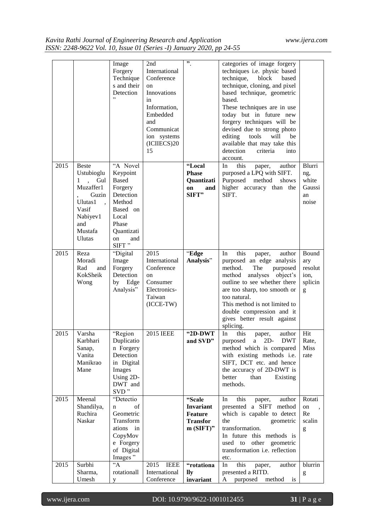|      |                                                                                                                                           | Image<br>Forgery<br>Technique<br>s and their<br>Detection<br>, ,                                                                         | 2nd<br>International<br>Conference<br>on<br>Innovations<br>in<br>Information,<br>Embedded<br>and<br>Communicat<br>ion systems<br>(ICHECS)20<br>15 | $"$ .                                                                          | categories of image forgery<br>techniques i.e. physic based<br>technique,<br>block<br>based<br>technique, cloning, and pixel<br>based technique, geometric<br>based.<br>These techniques are in use<br>today but in future new<br>forgery techniques will be<br>devised due to strong photo<br>editing<br>tools<br>will<br>be<br>available that may take this<br>detection<br>criteria<br>into<br>account. |                                                 |
|------|-------------------------------------------------------------------------------------------------------------------------------------------|------------------------------------------------------------------------------------------------------------------------------------------|---------------------------------------------------------------------------------------------------------------------------------------------------|--------------------------------------------------------------------------------|------------------------------------------------------------------------------------------------------------------------------------------------------------------------------------------------------------------------------------------------------------------------------------------------------------------------------------------------------------------------------------------------------------|-------------------------------------------------|
| 2015 | <b>Beste</b><br>Ustubioglu<br>1<br>$\sim$<br>Gul<br>Muzaffer1<br>Guzin<br>Ulutas1<br>Vasif<br>Nabiyev1<br>and<br>Mustafa<br><b>Ulutas</b> | "A Novel<br>Keypoint<br><b>Based</b><br>Forgery<br>Detection<br>Method<br>Based on<br>Local<br>Phase<br>Quantizati<br>and<br>on<br>SIFT" |                                                                                                                                                   | "Local<br><b>Phase</b><br><b>Ouantizati</b><br>on<br>and<br>SIFT"              | this<br>In<br>author<br>paper,<br>purposed a LPQ with SIFT.<br>Purposed method<br>shows<br>higher accuracy than the<br>SIFT.                                                                                                                                                                                                                                                                               | Blurri<br>ng,<br>white<br>Gaussi<br>an<br>noise |
| 2015 | Reza<br>Moradi<br>Rad<br>and<br>KokSheik<br>Wong                                                                                          | "Digital<br>Image<br>Forgery<br>Detection<br>by Edge<br>Analysis"                                                                        | 2015<br>International<br>Conference<br>on<br>Consumer<br>Electronics-<br>Taiwan<br>$(ICCE-TW)$                                                    | "Edge<br>Analysis"                                                             | this<br>In<br>paper,<br>author<br>purposed an edge analysis<br>method.<br>The<br>purposed<br>analyses<br>object's<br>method<br>outline to see whether there<br>are too sharp, too smooth or<br>too natural.<br>This method is not limited to<br>double compression and it<br>gives better result against<br>splicing.                                                                                      | Bound<br>ary<br>resolut<br>ion,<br>splicin<br>g |
| 2015 | Varsha<br>Karbhari<br>Sanap,<br>Vanita<br>Manikrao<br>Mane                                                                                | "Region<br>Duplicatio<br>n Forgery<br>Detection<br>in Digital<br>Images<br>Using 2D-<br>DWT and<br>SVD"                                  | <b>2015 IEEE</b>                                                                                                                                  | $"2D-DWT$<br>and SVD"                                                          | In<br>this<br>author<br>paper,<br>purposed a 2D- DWT<br>method which is compared<br>with existing methods i.e.<br>SIFT, DCT etc. and hence<br>the accuracy of 2D-DWT is<br>better<br>than<br>Existing<br>methods.                                                                                                                                                                                          | Hit<br>Rate,<br><b>Miss</b><br>rate             |
| 2015 | Meenal<br>Shandilya,<br>Ruchira<br>Naskar                                                                                                 | "Detectio<br>of<br>n<br>Geometric<br>Transform<br>ations<br>in<br>CopyMov<br>e Forgery<br>of Digital<br>Images"                          |                                                                                                                                                   | "Scale<br><b>Invariant</b><br><b>Feature</b><br><b>Transfor</b><br>$m(SIFT)$ " | this<br>author<br>In<br>paper,<br>presented a SIFT method<br>which is capable to detect<br>geometric<br>the<br>transformation.<br>In future this methods is<br>used to other geometric<br>transformation i.e. reflection<br>etc.                                                                                                                                                                           | Rotati<br>on<br>Re<br>scalin<br>g               |
| 2015 | Surbhi<br>Sharma,<br>Umesh                                                                                                                | $\overline{A}$<br>rotationall<br>y                                                                                                       | 2015<br><b>IEEE</b><br>International<br>Conference                                                                                                | "rotationa<br>lly<br>invariant                                                 | this<br>In<br>author<br>paper,<br>presented a RITD.<br>purposed method is<br>A                                                                                                                                                                                                                                                                                                                             | blurrin<br>$\mathbf{g}% _{0}$                   |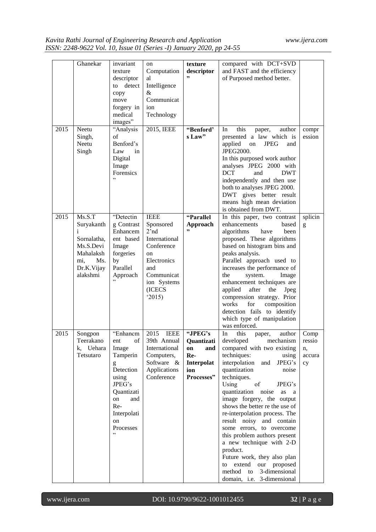|      | Ghanekar     | invariant             | on                    | texture          | compared with DCT+SVD                                           |         |
|------|--------------|-----------------------|-----------------------|------------------|-----------------------------------------------------------------|---------|
|      |              | texture               | Computation           | descriptor<br>,, | and FAST and the efficiency                                     |         |
|      |              | descriptor            | al                    |                  | of Purposed method better.                                      |         |
|      |              | detect<br>to          | Intelligence          |                  |                                                                 |         |
|      |              | copy                  | &<br>Communicat       |                  |                                                                 |         |
|      |              | move                  |                       |                  |                                                                 |         |
|      |              | forgery in<br>medical | ion                   |                  |                                                                 |         |
|      |              | images"               | Technology            |                  |                                                                 |         |
| 2015 | Neetu        | "Analysis             | 2015, IEEE            | "Benford"        | this<br>author<br>In                                            | compr   |
|      | Singh,       | of                    |                       | s Law"           | paper,<br>presented a law which is                              | ession  |
|      | Neetu        | Benford's             |                       |                  | applied<br><b>JPEG</b><br>on<br>and                             |         |
|      | Singh        | Law<br>in             |                       |                  | JPEG2000.                                                       |         |
|      |              | Digital               |                       |                  | In this purposed work author                                    |         |
|      |              | Image                 |                       |                  | analyses JPEG 2000 with                                         |         |
|      |              | Forensics             |                       |                  | <b>DCT</b><br><b>DWT</b><br>and                                 |         |
|      |              | ,                     |                       |                  | independently and then use                                      |         |
|      |              |                       |                       |                  | both to analyses JPEG 2000.                                     |         |
|      |              |                       |                       |                  | DWT gives better result                                         |         |
|      |              |                       |                       |                  | means high mean deviation                                       |         |
|      |              |                       |                       |                  | is obtained from DWT.                                           |         |
| 2015 | Ms.S.T       | "Detectin             | <b>IEEE</b>           | "Parallel        | In this paper, two contrast                                     | splicin |
|      | Suryakanth   | g Contrast            | Sponsored             | Approach         | enhancements<br>based                                           | g       |
|      | $\mathbf{1}$ | Enhancem              | 2'nd                  | , 2              | algorithms<br>have<br>been                                      |         |
|      | Sornalatha,  | ent based             | International         |                  | proposed. These algorithms                                      |         |
|      | Ms.S.Devi    | Image                 | Conference            |                  | based on histogram bins and                                     |         |
|      | Mahalaksh    | forgeries             | <sub>on</sub>         |                  | peaks analysis.                                                 |         |
|      | Ms.<br>mi,   | by                    | Electronics           |                  | Parallel approach used to                                       |         |
|      | Dr.K.Vijay   | Parallel              | and                   |                  | increases the performance of                                    |         |
|      | alakshmi     | Approach<br>,         | Communicat            |                  | the<br>system.<br>Image                                         |         |
|      |              |                       | ion Systems<br>(ICECS |                  | enhancement techniques are<br>applied<br>after<br>the<br>Jpeg   |         |
|      |              |                       | 2015                  |                  | compression strategy. Prior                                     |         |
|      |              |                       |                       |                  | for<br>works<br>composition                                     |         |
|      |              |                       |                       |                  | detection fails to identify                                     |         |
|      |              |                       |                       |                  | which type of manipulation                                      |         |
|      |              |                       |                       |                  | was enforced.                                                   |         |
| 2015 | Songpon      | "Enhancm              | 2015<br><b>IEEE</b>   | "JPEG's          | this<br>In<br>author<br>paper,                                  | Comp    |
|      | Teerakano    | of<br>ent             | 39th Annual           | Quantizati       | developed<br>mechanism                                          | ressio  |
|      | k, Uehara    | Image                 | International         | on<br>and        | compared with two existing                                      | n,      |
|      | Tetsutaro    | Tamperin              | Computers,            | Re-              | techniques:<br>using                                            | accura  |
|      |              | g                     | Software &            | Interpolat       | interpolation<br>and<br>JPEG's                                  | cy      |
|      |              | Detection             | Applications          | ion              | quantization<br>noise                                           |         |
|      |              | using                 | Conference            | Processes"       | techniques.                                                     |         |
|      |              | JPEG's                |                       |                  | Using<br>of<br>JPEG's                                           |         |
|      |              | Quantizati            |                       |                  | quantization<br>noise<br>as<br>a                                |         |
|      |              | and<br>on             |                       |                  | image forgery, the output                                       |         |
|      |              | Re-                   |                       |                  | shows the better re the use of<br>re-interpolation process. The |         |
|      |              | Interpolati<br>on     |                       |                  | result noisy and contain                                        |         |
|      |              | Processes             |                       |                  | some errors, to overcome                                        |         |
|      |              |                       |                       |                  | this problem authors present                                    |         |
|      |              |                       |                       |                  | a new technique with 2-D                                        |         |
|      |              |                       |                       |                  | product.                                                        |         |
|      |              |                       |                       |                  | Future work, they also plan                                     |         |
|      |              |                       |                       |                  | extend<br>our proposed<br>to                                    |         |
|      |              |                       |                       |                  | method<br>3-dimensional<br>to                                   |         |
|      |              |                       |                       |                  | domain, i.e. 3-dimensional                                      |         |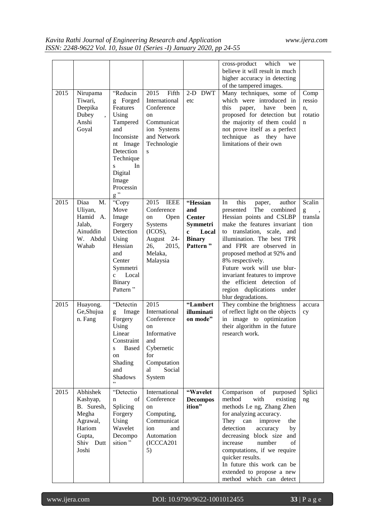|      |                                                                                                   |                                                                                                                                                                                 |                                                                                                                               |                                                                                                                | cross-product<br>which<br>we<br>believe it will result in much<br>higher accuracy in detecting<br>of the tampered images.                                                                                                                                                                                                                                                                                          |                                                |
|------|---------------------------------------------------------------------------------------------------|---------------------------------------------------------------------------------------------------------------------------------------------------------------------------------|-------------------------------------------------------------------------------------------------------------------------------|----------------------------------------------------------------------------------------------------------------|--------------------------------------------------------------------------------------------------------------------------------------------------------------------------------------------------------------------------------------------------------------------------------------------------------------------------------------------------------------------------------------------------------------------|------------------------------------------------|
| 2015 | Nirupama<br>Tiwari,<br>Deepika<br>Dubey<br>$\ddot{\phantom{0}}$<br>Anshi<br>Goyal                 | "Reducin<br>g Forged<br>Features<br>Using<br>Tampered<br>and<br>Inconsiste<br>nt Image<br>Detection<br>Technique<br>In<br>S.<br>Digital<br>Image<br>Processin<br>$\mathrm{g}$ " | 2015<br>Fifth<br>International<br>Conference<br>on<br>Communicat<br>ion Systems<br>and Network<br>Technologie<br>S            | $2-D$ DWT<br>etc                                                                                               | Many techniques, some of<br>which were introduced in<br>this<br>paper,<br>have<br>been<br>proposed for detection but<br>the majority of them could<br>not prove itself as a perfect<br>technique<br>as they have<br>limitations of their own                                                                                                                                                                       | Comp<br>ressio<br>n,<br>rotatio<br>$\mathbf n$ |
| 2015 | Diaa<br>M.<br>Uliyan,<br>Hamid A.<br>Jalab.<br>Ainuddin<br>W. Abdul<br>Wahab                      | "Copy<br>Move<br>Image<br>Forgery<br>Detection<br>Using<br>Hessian<br>and<br>Center<br>Symmetri<br>Local<br>$\mathbf{c}$<br><b>Binary</b><br>Pattern"                           | 2015<br><b>IEEE</b><br>Conference<br>Open<br>on<br>Systems<br>(ICOS),<br>August<br>-24<br>2015,<br>26,<br>Melaka,<br>Malaysia | "Hessian<br>and<br><b>Center</b><br>Symmetri<br>Local<br>$\mathbf{c}$<br><b>Binary</b><br>Pattern <sup>"</sup> | this<br>In<br>author<br>paper,<br>presented<br>The<br>combined<br>Hessian points and CSLBP<br>make the features invariant<br>to translation, scale, and<br>illumination. The best TPR<br>and FPR are observed in<br>proposed method at 92% and<br>8% respectively.<br>Future work will use blur-<br>invariant features to improve<br>the efficient detection of<br>region duplications under<br>blur degradations. | Scalin<br>g<br>transla<br>tion                 |
| 2015 | Huayong.<br>Ge, Shujua<br>n. Fang                                                                 | "Detectin<br>Image<br>$\mathbf{g}$<br>Forgery<br>Using<br>Linear<br>Constraint<br>Based<br>S<br>on<br>Shading<br>and<br>Shadows<br>,                                            | 2015<br>International<br>Conference<br>on<br>Informative<br>and<br>Cybernetic<br>for<br>Computation<br>Social<br>al<br>System | "Lambert<br>illuminati<br>on mode"                                                                             | They combine the brightness<br>of reflect light on the objects<br>in image to optimization<br>their algorithm in the future<br>research work.                                                                                                                                                                                                                                                                      | accura<br>cy                                   |
| 2015 | Abhishek<br>Kashyap,<br>B. Suresh,<br>Megha<br>Agrawal,<br>Hariom<br>Gupta,<br>Shiv Dutt<br>Joshi | "Detectio<br>of<br>n<br>Splicing<br>Forgery<br>Using<br>Wavelet<br>Decompo<br>sition"                                                                                           | International<br>Conference<br>on<br>Computing,<br>Communicat<br>ion<br>and<br>Automation<br>(ICCCA201<br>5)                  | "Wavelet<br><b>Decompos</b><br>ition"                                                                          | Comparison<br>of<br>purposed<br>method<br>with<br>existing<br>methods I.e ng, Zhang Zhen<br>for analyzing accuracy.<br>They can<br>improve<br>the<br>detection<br>accuracy<br>by<br>decreasing block size<br>and<br>increase<br>number<br>οf<br>computations, if we require<br>quicker results.<br>In future this work can be<br>extended to propose a new<br>method which can detect                              | Splici<br>ng                                   |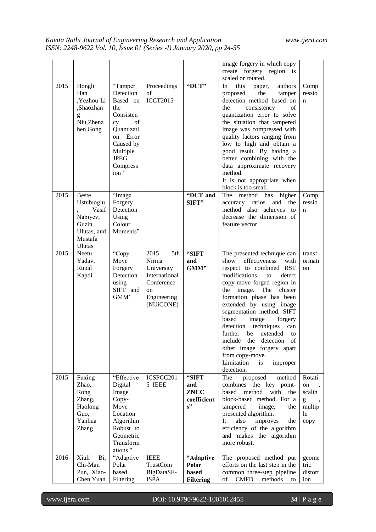|      |                                                                                                      |                                                                                                                                                        |                                                                                                     |                                                  | image forgery in which copy<br>create<br>forgery region is<br>scaled or rotated.                                                                                                                                                                                                                                                                                                                                                                                                                              |                                                     |
|------|------------------------------------------------------------------------------------------------------|--------------------------------------------------------------------------------------------------------------------------------------------------------|-----------------------------------------------------------------------------------------------------|--------------------------------------------------|---------------------------------------------------------------------------------------------------------------------------------------------------------------------------------------------------------------------------------------------------------------------------------------------------------------------------------------------------------------------------------------------------------------------------------------------------------------------------------------------------------------|-----------------------------------------------------|
| 2015 | Hongli<br>Han<br>,Yezhou Li<br>,Shaozhan<br>g<br>Niu, Zhenz<br>hen Gong                              | "Tamper<br>Detection<br>Based on<br>the<br>Consisten<br>of<br>cy<br>Quantizati<br>on Error<br>Caused by<br>Multiple<br><b>JPEG</b><br>Compress<br>ion" | Proceedings<br>of<br><b>ICCT2015</b>                                                                | "DCT"                                            | In<br>this<br>authors<br>paper,<br>the<br>proposed<br>tamper<br>detection method based on<br>consistency<br>of<br>the<br>quantization error to solve<br>the situation that tampered<br>image was compressed with<br>quality factors ranging from<br>low to high and obtain a<br>good result. By having a<br>better combining with the<br>data approximate recovery<br>method.<br>It is not appropriate when<br>block is too small.                                                                            | Comp<br>ressio<br>n                                 |
| 2015 | <b>Beste</b><br>Ustubioglu<br>Vasif<br>Nabiyev,<br>Guzin<br>Ulutas, and<br>Mustafa<br><b>U</b> lutas | "Image<br>Forgery<br>Detection<br>Using<br>Colour<br>Moments"                                                                                          |                                                                                                     | "DCT and<br>SIFT"                                | The method<br>has higher<br>accuracy ratios and<br>the<br>method also achieves<br>to<br>decrease the dimension of<br>feature vector.                                                                                                                                                                                                                                                                                                                                                                          | Comp<br>ressio<br>n                                 |
| 2015 | Neetu<br>Yadav,<br>Rupal<br>Kapdi                                                                    | "Copy<br>Move<br>Forgery<br>Detection<br>using<br>SIFT and<br>GMM"                                                                                     | 5th<br>2015<br>Nirma<br>University<br>International<br>Conference<br>on<br>Engineering<br>(NUiCONE) | "SIFT<br>and<br>GMM"                             | The presented technique can<br>effectiveness<br>show<br>with<br>respect to combined RST<br>modifications<br>to<br>detect<br>copy-move forged region in<br>the<br>image. The cluster<br>formation phase has been<br>extended by using image<br>segmentation method. SIFT<br>based<br>image<br>forgery<br>techniques<br>detection<br>can<br>further<br>extended<br>be<br>to<br>include the<br>detection of<br>other image forgery apart<br>from copy-move.<br>Limitation<br><i>is</i><br>improper<br>detection. | transf<br>ormati<br>on                              |
| 2015 | Fuxing<br>Zhao,<br>Rong<br>Zhang,<br>Haolong<br>Guo,<br>Yanhua<br><b>Zhang</b>                       | "Effective<br>Digital<br>Image<br>Copy-<br>Move<br>Location<br>Algorithm<br>Robust to<br>Geometric<br>Transform<br>ations"                             | ICSPCC201<br>5 IEEE                                                                                 | "SIFT<br>and<br><b>ZNCC</b><br>coefficient<br>s" | proposed<br>The<br>method<br>combines the key point-<br>method<br>with<br>based<br>the<br>block-based method. For a<br>tampered<br>image,<br>the<br>presented algorithm.<br>also<br>It<br>improves<br>the<br>efficiency of the algorithm<br>and makes the algorithm<br>more robust.                                                                                                                                                                                                                           | Rotati<br>on<br>scalin<br>g<br>multip<br>le<br>copy |
| 2016 | Xiuli<br>Bi,<br>Chi-Man<br>Pun, Xiao-<br>Chen Yuan                                                   | "Adaptive<br>Polar<br>based<br>Filtering                                                                                                               | <b>IEEE</b><br><b>TrustCom</b><br>BigDataSE-<br><b>ISPA</b>                                         | "Adaptive<br>Polar<br>based<br><b>Filtering</b>  | The proposed method put<br>efforts on the last step in the<br>common three-step pipeline<br><b>CMFD</b><br>of<br>methods<br>to                                                                                                                                                                                                                                                                                                                                                                                | geome<br>tric<br>distort<br>ion                     |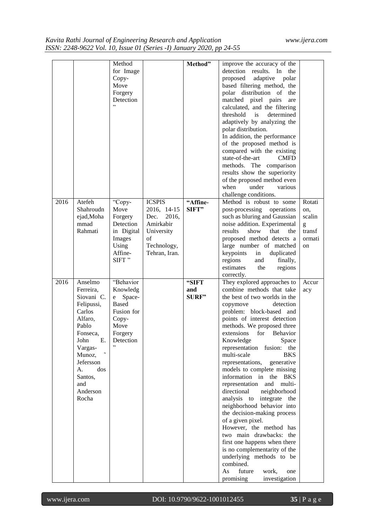|      |                     | Method       |               | Method"  | improve the accuracy of the                                  |        |
|------|---------------------|--------------|---------------|----------|--------------------------------------------------------------|--------|
|      |                     | for Image    |               |          | detection<br>results. In<br>the                              |        |
|      |                     | Copy-        |               |          | adaptive<br>proposed<br>polar                                |        |
|      |                     | Move         |               |          | based filtering method, the                                  |        |
|      |                     | Forgery      |               |          | polar distribution of the                                    |        |
|      |                     | Detection    |               |          | matched pixel pairs<br>are                                   |        |
|      |                     | ,            |               |          | calculated, and the filtering                                |        |
|      |                     |              |               |          | determined<br>threshold<br>is                                |        |
|      |                     |              |               |          | adaptively by analyzing the                                  |        |
|      |                     |              |               |          | polar distribution.                                          |        |
|      |                     |              |               |          | In addition, the performance                                 |        |
|      |                     |              |               |          | of the proposed method is                                    |        |
|      |                     |              |               |          | compared with the existing                                   |        |
|      |                     |              |               |          | state-of-the-art<br><b>CMFD</b><br>methods. The comparison   |        |
|      |                     |              |               |          | results show the superiority                                 |        |
|      |                     |              |               |          | of the proposed method even                                  |        |
|      |                     |              |               |          | under<br>when<br>various                                     |        |
|      |                     |              |               |          | challenge conditions.                                        |        |
| 2016 | Atefeh              | "Copy-       | <b>ICSPIS</b> | "Affine- | Method is robust to some                                     | Rotati |
|      | Shahroudn           | Move         | 2016, 14-15   | SIFT"    | post-processing operations                                   | on,    |
|      | ejad, Moha          | Forgery      | 2016,<br>Dec. |          | such as bluring and Gaussian                                 | scalin |
|      | mmad                | Detection    | Amirkabir     |          | noise addition. Experimental                                 | g      |
|      | Rahmati             | in Digital   | University    |          | results<br>show<br>that<br>the                               | transf |
|      |                     | Images       | of            |          | proposed method detects a                                    | ormati |
|      |                     | Using        | Technology,   |          | large number of matched                                      | on     |
|      |                     | Affine-      | Tehran, Iran. |          | keypoints<br>in<br>duplicated                                |        |
|      |                     | SIFT"        |               |          | regions<br>and<br>finally,<br>estimates                      |        |
|      |                     |              |               |          | the<br>regions                                               |        |
| 2016 | Anselmo             | "Behavior    |               | "SIFT    | correctly.<br>They explored approaches to                    | Accur  |
|      | Ferreira,           | Knowledg     |               | and      | combine methods that take                                    | acy    |
|      | Siovani C.          | Space-<br>e  |               | SURF"    | the best of two worlds in the                                |        |
|      | Felipussi,          | <b>Based</b> |               |          | detection<br>copymove                                        |        |
|      | Carlos              | Fusion for   |               |          | problem: block-based and                                     |        |
|      | Alfaro,             | Copy-        |               |          | points of interest detection                                 |        |
|      | Pablo               | Move         |               |          | methods. We proposed three                                   |        |
|      | Fonseca,            | Forgery      |               |          | for<br>extensions<br>Behavior                                |        |
|      | John<br>Е.          | Detection    |               |          | Knowledge<br>Space                                           |        |
|      | Vargas-             |              |               |          | representation<br>fusion:<br>the                             |        |
|      | Munoz,<br>Jefersson |              |               |          | multi-scale<br><b>BKS</b>                                    |        |
|      | A.<br>dos           |              |               |          | representations,<br>generative<br>models to complete missing |        |
|      | Santos,             |              |               |          | information in the BKS                                       |        |
|      | and                 |              |               |          | representation<br>and multi-                                 |        |
|      | Anderson            |              |               |          | directional<br>neighborhood                                  |        |
|      | Rocha               |              |               |          | analysis to<br>integrate the                                 |        |
|      |                     |              |               |          | neighborhood behavior into                                   |        |
|      |                     |              |               |          | the decision-making process                                  |        |
|      |                     |              |               |          | of a given pixel.                                            |        |
|      |                     |              |               |          | However, the method has                                      |        |
|      |                     |              |               |          | two main drawbacks: the                                      |        |
|      |                     |              |               |          | first one happens when there                                 |        |
|      |                     |              |               |          |                                                              |        |
|      |                     |              |               |          | is no complementarity of the                                 |        |
|      |                     |              |               |          | underlying methods to be                                     |        |
|      |                     |              |               |          | combined.<br>future<br>As<br>work,<br>one                    |        |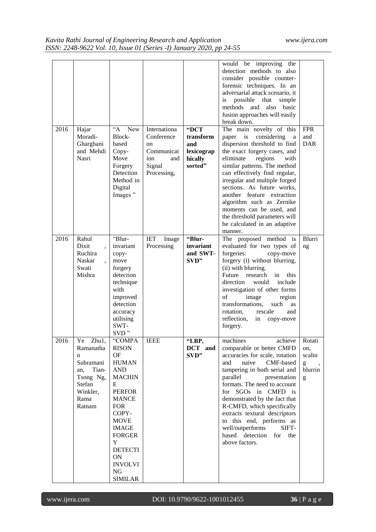| 2016 | Hajar<br>Moradi-<br>Gharghani<br>and Mehdi<br>Nasri                                                          | $A^{\circ}$<br><b>New</b><br>Block-<br>based<br>Copy-<br>Move<br>Forgery<br>Detection<br>Method in<br>Digital<br>Images"                                                                                                                                               | Internationa<br>Conference<br>on<br>Communicat<br>ion<br>and<br>Signal<br>Processing, | "DCT<br>transform<br>and<br>lexicograp<br>hically<br>sorted" | would be improving the<br>detection methods to also<br>consider possible counter-<br>forensic techniques. In an<br>adversarial attack scenario, it<br>is<br>possible<br>that<br>simple<br>methods<br>and<br>also<br>basic<br>fusion approaches will easily<br>break down.<br>The main novelty of this<br>considering<br>paper is<br>a<br>dispersion threshold to find<br>the exact forgery cases, and<br>eliminate<br>regions<br>with<br>similar patterns. The method<br>can effectively find regular,<br>irregular and multiple forged<br>sections. As future works,<br>another feature extraction<br>algorithm such as Zernike<br>moments can be used, and<br>the threshold parameters will<br>be calculated in an adaptive<br>manner. | <b>FPR</b><br>and<br><b>DAR</b>                                                                                                                                                                                                                                                                                                                                                                                                                                           |
|------|--------------------------------------------------------------------------------------------------------------|------------------------------------------------------------------------------------------------------------------------------------------------------------------------------------------------------------------------------------------------------------------------|---------------------------------------------------------------------------------------|--------------------------------------------------------------|------------------------------------------------------------------------------------------------------------------------------------------------------------------------------------------------------------------------------------------------------------------------------------------------------------------------------------------------------------------------------------------------------------------------------------------------------------------------------------------------------------------------------------------------------------------------------------------------------------------------------------------------------------------------------------------------------------------------------------------|---------------------------------------------------------------------------------------------------------------------------------------------------------------------------------------------------------------------------------------------------------------------------------------------------------------------------------------------------------------------------------------------------------------------------------------------------------------------------|
| 2016 | Rahul<br>Dixit<br>Ruchira<br>Naskar<br>Swati<br>Mishra                                                       | "Blur-<br>invariant<br>copy-<br>move<br>forgery<br>detection<br>technique<br>with<br>improved<br>detection<br>accuracy<br>utilising<br>SWT-<br>SVD"                                                                                                                    | <b>IET</b><br>Image<br>Processing                                                     | "Blur-<br>invariant<br>and SWT-<br>SVD"                      | The proposed method<br>is<br>evaluated for two types of<br>forgeries:<br>copy-move<br>forgery (i) without blurring,<br>(ii) with blurring.<br>Future<br>research<br>in<br>this.<br>direction<br>would<br>include<br>investigation of other forms<br>of<br>image<br>region<br>transformations,<br>such<br>as<br>rotation,<br>rescale<br>and<br>reflection,<br>in<br>copy-move<br>forgery.                                                                                                                                                                                                                                                                                                                                                 | Blurri<br>ng                                                                                                                                                                                                                                                                                                                                                                                                                                                              |
| 2016 | Ye Zhu1,<br>Ramanatha<br>n<br>Subramani<br>Tian-<br>an,<br>Tsong Ng,<br>Stefan<br>Winkler,<br>Rama<br>Ratnam | "COMPA<br><b>RISON</b><br><b>OF</b><br><b>HUMAN</b><br><b>AND</b><br><b>MACHIN</b><br>E<br><b>PERFOR</b><br><b>MANCE</b><br><b>FOR</b><br>COPY-<br><b>MOVE</b><br><b>IMAGE</b><br><b>FORGER</b><br>Y<br><b>DETECTI</b><br>ON<br><b>INVOLVI</b><br>NG<br><b>SIMILAR</b> | <b>IEEE</b>                                                                           | "LBP,<br>DCT and<br>SVD"                                     | machines<br>achieve<br>comparable or better CMFD<br>accuracies for scale, rotation<br>naive<br>and<br>CMF-based<br>tampering in both serial and<br>parallel<br>presentation<br>formats. The need to account<br>for SGOs in CMFD is<br>demonstrated by the fact that<br>R-CMFD, which specifically<br>extracts textural descriptors<br>to this end, performs as<br>well/outperforms<br>SIFT-<br>based detection<br>for the<br>above factors.                                                                                                                                                                                                                                                                                              | Rotati<br>on,<br>scalin<br>$\mathbf{g}% _{T}=\mathbf{g}_{T}=\mathbf{g}_{T}=\mathbf{g}_{T}=\mathbf{g}_{T}=\mathbf{g}_{T}=\mathbf{g}_{T}=\mathbf{g}_{T}=\mathbf{g}_{T}=\mathbf{g}_{T}=\mathbf{g}_{T}=\mathbf{g}_{T}=\mathbf{g}_{T}=\mathbf{g}_{T}=\mathbf{g}_{T}=\mathbf{g}_{T}=\mathbf{g}_{T}=\mathbf{g}_{T}=\mathbf{g}_{T}=\mathbf{g}_{T}=\mathbf{g}_{T}=\mathbf{g}_{T}=\mathbf{g}_{T}=\mathbf{g}_{T}=\mathbf{g}_{T}=\mathbf{g}_{T}=\mathbf{g}_{T}=\math$<br>blurrin<br>g |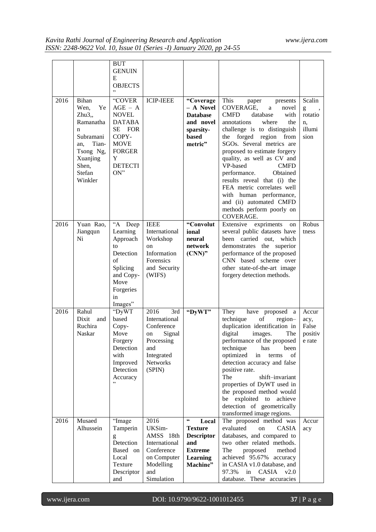|      |                                                                                                                                    | <b>BUT</b><br><b>GENUIN</b><br>Е<br><b>OBJECTS</b><br>,,                                                                                    |                                                                                                                            |                                                                                                                                |                                                                                                                                                                                                                                                                                                                                                                                                                                                                                                      |                                                |
|------|------------------------------------------------------------------------------------------------------------------------------------|---------------------------------------------------------------------------------------------------------------------------------------------|----------------------------------------------------------------------------------------------------------------------------|--------------------------------------------------------------------------------------------------------------------------------|------------------------------------------------------------------------------------------------------------------------------------------------------------------------------------------------------------------------------------------------------------------------------------------------------------------------------------------------------------------------------------------------------------------------------------------------------------------------------------------------------|------------------------------------------------|
| 2016 | Bihan<br>Wen,<br>Ye<br>Zhu3,<br>Ramanatha<br>n<br>Subramani<br>Tian-<br>an,<br>Tsong Ng,<br>Xuanjing<br>Shen,<br>Stefan<br>Winkler | "COVER<br>$AGE - A$<br><b>NOVEL</b><br><b>DATABA</b><br>SE<br>FOR<br>COPY-<br><b>MOVE</b><br><b>FORGER</b><br>Y<br><b>DETECTI</b><br>$ON$ " | <b>ICIP-IEEE</b>                                                                                                           | "Coverage<br>– A Novel<br><b>Database</b><br>and novel<br>sparsity-<br>based<br>metric"                                        | This<br>paper<br>presents<br>COVERAGE,<br>a<br>novel<br><b>CMFD</b><br>database<br>with<br>annotations<br>where<br>the<br>challenge is to distinguish<br>forged region<br>the<br>from<br>SGOs. Several metrics are<br>proposed to estimate forgery<br>quality, as well as CV and<br>VP-based<br><b>CMFD</b><br>performance.<br>Obtained<br>results reveal that (i) the<br>FEA metric correlates well<br>with human performance,<br>and (ii) automated CMFD<br>methods perform poorly on<br>COVERAGE. | Scalin<br>g<br>rotatio<br>n.<br>illumi<br>sion |
| 2016 | Yuan Rao,<br>Jiangqun<br>Ni                                                                                                        | "A Deep<br>Learning<br>Approach<br>to<br>Detection<br>of<br>Splicing<br>and Copy-<br>Move<br>Forgeries<br>in<br>Images"                     | <b>IEEE</b><br>International<br>Workshop<br>on<br>Information<br>Forensics<br>and Security<br>(WIFS)                       | "Convolut<br>ional<br>neural<br>network<br>$(CNN)$ "                                                                           | Extensive<br>expriments<br>on<br>several public datasets have<br>been carried out,<br>which<br>demonstrates the superior<br>performance of the proposed<br>CNN based scheme over<br>other state-of-the-art image<br>forgery detection methods.                                                                                                                                                                                                                                                       | Robus<br>tness                                 |
| 2016 | Rahul<br>Dixit<br>and<br>Ruchira<br>Naskar                                                                                         | "DyWT<br>based<br>Copy-<br>Move<br>Forgery<br>Detection<br>with<br>Improved<br>Detection<br>Accuracy<br>,,                                  | 3rd<br>2016<br>International<br>Conference<br>Signal<br>on<br>Processing<br>and<br>Integrated<br><b>Networks</b><br>(SPIN) | "DyWT"                                                                                                                         | They<br>have proposed<br>a a<br>technique<br>of<br>region-<br>duplication identification in<br>digital<br>The<br>images.<br>performance of the proposed<br>technique<br>has<br>been<br>optimized<br>in<br>terms<br>οf<br>detection accuracy and false<br>positive rate.<br>The<br>shift-invariant<br>properties of DyWT used in<br>the proposed method would<br>exploited to<br>achieve<br>be<br>detection of geometrically<br>transformed image regions.                                            | Accur<br>acy,<br>False<br>positiv<br>e rate    |
| 2016 | Musaed<br>Alhussein                                                                                                                | "Image<br>Tamperin<br>g<br>Detection<br>Based on<br>Local<br>Texture<br>Descriptor<br>and                                                   | 2016<br>UKSim-<br>AMSS 18th<br>International<br>Conference<br>on Computer<br>Modelling<br>and<br>Simulation                | $\textsf{G}\textsf{G}$<br>Local<br><b>Texture</b><br><b>Descriptor</b><br>and<br><b>Extreme</b><br><b>Learning</b><br>Machine" | The proposed method was<br>evaluated<br>CASIA<br>on<br>databases, and compared to<br>two other related methods.<br>The<br>proposed<br>method<br>achieved 95.67% accuracy<br>in CASIA v1.0 database, and<br>97.3%<br>in CASIA<br>v2.0<br>database. These accuracies                                                                                                                                                                                                                                   | Accur<br>acy                                   |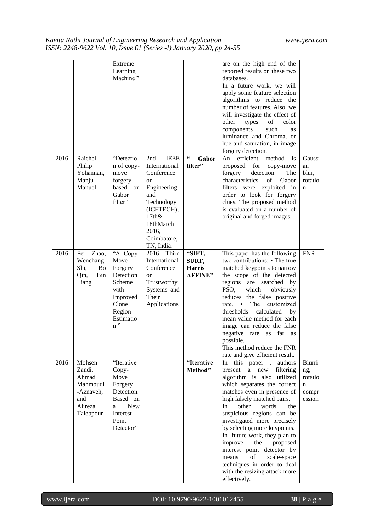|      |                                                                                   | Extreme<br>Learning<br>Machine"                                                                                      |                                                                                                                                                                          |                                                    | are on the high end of the<br>reported results on these two<br>databases.<br>In a future work, we will<br>apply some feature selection<br>algorithms to reduce the<br>number of features. Also, we<br>will investigate the effect of<br>other<br>types<br>of<br>color<br>such<br>components<br>as<br>luminance and Chroma, or<br>hue and saturation, in image<br>forgery detection.                                                                                                                                             |                                                   |
|------|-----------------------------------------------------------------------------------|----------------------------------------------------------------------------------------------------------------------|--------------------------------------------------------------------------------------------------------------------------------------------------------------------------|----------------------------------------------------|---------------------------------------------------------------------------------------------------------------------------------------------------------------------------------------------------------------------------------------------------------------------------------------------------------------------------------------------------------------------------------------------------------------------------------------------------------------------------------------------------------------------------------|---------------------------------------------------|
| 2016 | Raichel<br>Philip<br>Yohannan,<br>Manju<br>Manuel                                 | "Detectio<br>n of copy-<br>move<br>forgery<br>based on<br>Gabor<br>filter"                                           | <b>IEEE</b><br>2nd<br>International<br>Conference<br>on<br>Engineering<br>and<br>Technology<br>(ICETECH),<br>$17th\&$<br>18thMarch<br>2016,<br>Coimbatore,<br>TN, India. | $\textsf{6}\textsf{6}$<br>Gabor<br>filter"         | efficient method<br>is<br>An<br>proposed for<br>copy-move<br>detection.<br>forgery<br>The<br>characteristics<br>of<br>Gabor<br>filters were exploited in<br>order to look for forgery<br>clues. The proposed method<br>is evaluated on a number of<br>original and forged images.                                                                                                                                                                                                                                               | Gaussi<br>an<br>blur,<br>rotatio<br>n             |
| 2016 | Zhao,<br>Fei<br>Wenchang<br>Shi,<br>Bo<br>Qin,<br>Bin<br>Liang                    | "A Copy-<br>Move<br>Forgery<br>Detection<br>Scheme<br>with<br>Improved<br>Clone<br>Region<br>Estimatio<br>$n$ "      | 2016 Third<br>International<br>Conference<br>on<br>Trustworthy<br>Systems and<br>Their<br>Applications                                                                   | "SIFT,<br>SURF,<br><b>Harris</b><br><b>AFFINE"</b> | This paper has the following<br>two contributions: • The true<br>matched keypoints to narrow<br>the scope of the detected<br>regions are searched by<br>PSO,<br>which<br>obviously<br>reduces the false positive<br>rate.<br>$\bullet$<br>The<br>customized<br>calculated<br>thresholds<br>by<br>mean value method for each<br>image can reduce the false<br>negative rate as far as<br>possible.<br>This method reduce the FNR<br>rate and give efficient result.                                                              | <b>FNR</b>                                        |
| 2016 | Mohsen<br>Zandi,<br>Ahmad<br>Mahmoudi<br>-Aznaveh,<br>and<br>Alireza<br>Talebpour | "Iterative<br>Copy-<br>Move<br>Forgery<br>Detection<br>Based on<br><b>New</b><br>a<br>Interest<br>Point<br>Detector" |                                                                                                                                                                          | "Iterative<br>Method"                              | In this paper,<br>authors<br>present<br>new<br>filtering<br>a<br>algorithm is also utilized<br>which separates the correct<br>matches even in presence of<br>high falsely matched pairs.<br>other<br>In.<br>words,<br>the<br>suspicious regions can be<br>investigated more precisely<br>by selecting more keypoints.<br>In future work, they plan to<br>improve<br>the<br>proposed<br>interest point detector by<br>of<br>scale-space<br>means<br>techniques in order to deal<br>with the resizing attack more<br>effectively. | Blurri<br>ng,<br>rotatio<br>n,<br>compr<br>ession |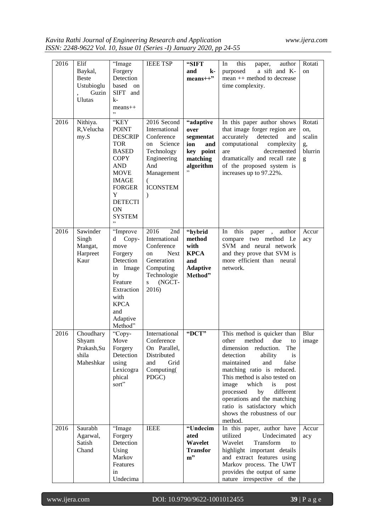| 2016 | Elif<br>Baykal,<br><b>Beste</b><br>Ustubioglu<br>Guzin<br><b>Ulutas</b> | "Image<br>Forgery<br>Detection<br>based on<br>SIFT and<br>k-<br>$means++$<br>, 2, 3                                                                                                                    | <b>IEEE TSP</b>                                                                                                                                        | "SIFT<br>$\mathbf{k}$ -<br>and<br>$means++"$                                             | this<br>In<br>author<br>paper,<br>a sift and K-<br>purposed<br>mean ++ method to decrease<br>time complexity.                                                                                                                                                                                                                                                                                    | Rotati<br>on                                  |
|------|-------------------------------------------------------------------------|--------------------------------------------------------------------------------------------------------------------------------------------------------------------------------------------------------|--------------------------------------------------------------------------------------------------------------------------------------------------------|------------------------------------------------------------------------------------------|--------------------------------------------------------------------------------------------------------------------------------------------------------------------------------------------------------------------------------------------------------------------------------------------------------------------------------------------------------------------------------------------------|-----------------------------------------------|
| 2016 | Nithiya.<br>R, Velucha<br>my.S                                          | "KEY<br><b>POINT</b><br><b>DESCRIP</b><br><b>TOR</b><br><b>BASED</b><br><b>COPY</b><br><b>AND</b><br><b>MOVE</b><br><b>IMAGE</b><br><b>FORGER</b><br>Y<br><b>DETECTI</b><br>ON<br><b>SYSTEM</b><br>, , | 2016 Second<br>International<br>Conference<br>Science<br>on<br>Technology<br>Engineering<br>And<br>Management<br>(<br><b>ICONSTEM</b><br>$\mathcal{E}$ | "adaptive<br>over<br>segmentat<br>ion<br>and<br>key point<br>matching<br>algorithm<br>,, | In this paper author shows<br>that image forger region are<br>accurately<br>detected<br>and<br>computational<br>complexity<br>decremented<br>are<br>dramatically and recall rate<br>of the proposed system is<br>increases up to 97.22%.                                                                                                                                                         | Rotati<br>on,<br>scalin<br>g,<br>blurrin<br>g |
| 2016 | Sawinder<br>Singh<br>Mangat,<br>Harpreet<br>Kaur                        | "Improve<br>d<br>Copy-<br>move<br>Forgery<br>Detection<br>in Image<br>by<br>Feature<br>Extraction<br>with<br><b>KPCA</b><br>and<br>Adaptive<br>Method"                                                 | 2016<br>2nd<br>International<br>Conference<br><b>Next</b><br>on<br>Generation<br>Computing<br>Technologie<br>(NGCT-<br>$\mathbf S$<br>2016)            | "hybrid<br>method<br>with<br><b>KPCA</b><br>and<br><b>Adaptive</b><br>Method"            | this<br>In<br>paper, author<br>compare two method<br>I.e<br>SVM and neural network<br>and they prove that SVM is<br>more efficient than<br>neural<br>network.                                                                                                                                                                                                                                    | Accur<br>acy                                  |
| 2016 | Choudhary<br>Shyam<br>Prakash, Su<br>shila<br>Maheshkar                 | "Copy-<br>Move<br>Forgery<br>Detection<br>using<br>Lexicogra<br>phical<br>sort"                                                                                                                        | International<br>Conference<br>On Parallel,<br>Distributed<br>Grid<br>and<br>Computing(<br>PDGC)                                                       | "DCT"                                                                                    | This method is quicker than<br>method<br>due<br>other<br>to<br>dimension<br>reduction.<br>The<br>detection<br>ability<br>is<br>maintained<br>and<br>false<br>matching ratio is reduced.<br>This method is also tested on<br>which<br>is<br>image<br>post<br>processed<br>by<br>different<br>operations and the matching<br>ratio is satisfactory which<br>shows the robustness of our<br>method. | Blur<br>image                                 |
| 2016 | Saurabh<br>Agarwal,<br>Satish<br>Chand                                  | "Image<br>Forgery<br>Detection<br>Using<br>Markov<br>Features<br>in<br>Undecima                                                                                                                        | <b>IEEE</b>                                                                                                                                            | "Undecim<br>ated<br>Wavelet<br><b>Transfor</b><br>$m$ "                                  | In this paper, author have<br>utilized<br>Undecimated<br>Wavelet<br>Transform<br>to<br>highlight important details<br>and extract features using<br>Markov process. The UWT<br>provides the output of same<br>nature irrespective of the                                                                                                                                                         | Accur<br>acy                                  |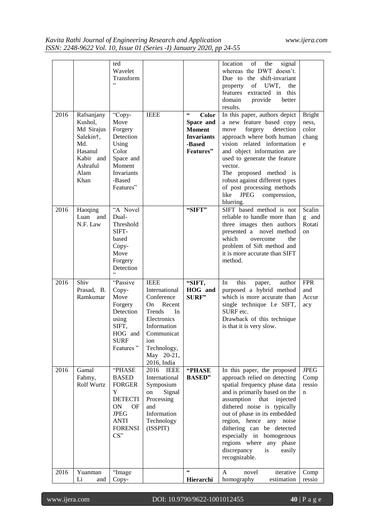| 2016 | Rafsanjany                                                                                    | ted<br>Wavelet<br>Transform<br>,<br>"Copy-                                                                                                        | <b>IEEE</b>                                                                                                                                                                | $\textsf{G}\textsf{G}$<br>Color                                        | location<br>of<br>the<br>signal<br>whereas the DWT doesn't.<br>Due to the shift-invariant<br>of UWT,<br>the<br>property<br>features extracted in this<br>domain<br>better<br>provide<br>results.<br>In this paper, authors depict                                                                                                                                                               | <b>Bright</b>                                |
|------|-----------------------------------------------------------------------------------------------|---------------------------------------------------------------------------------------------------------------------------------------------------|----------------------------------------------------------------------------------------------------------------------------------------------------------------------------|------------------------------------------------------------------------|-------------------------------------------------------------------------------------------------------------------------------------------------------------------------------------------------------------------------------------------------------------------------------------------------------------------------------------------------------------------------------------------------|----------------------------------------------|
|      | Kushol.<br>Md Sirajus<br>Salekin†,<br>Md.<br>Hasanul<br>Kabir and<br>Ashraful<br>Alam<br>Khan | Move<br>Forgery<br><b>Detection</b><br>Using<br>Color<br>Space and<br>Moment<br>Invariants<br>-Based<br>Features"                                 |                                                                                                                                                                            | Space and<br><b>Moment</b><br><b>Invariants</b><br>-Based<br>Features" | a new feature based copy<br>forgery<br>detection<br>move<br>approach where both human<br>vision related information<br>and object information are<br>used to generate the feature<br>vector.<br>The proposed method is<br>robust against different types<br>of post processing methods<br>like<br><b>JPEG</b><br>compression,<br>blurring.                                                      | ness,<br>color<br>chang<br>e                 |
| 2016 | Haoqing<br>Luan and<br>N.F. Law                                                               | "A Novel<br>Dual-<br>Threshold<br>SIFT-<br>based<br>Copy-<br>Move<br>Forgery<br>Detection<br>,                                                    |                                                                                                                                                                            | "SIFT"                                                                 | SIFT based method is not<br>reliable to handle more than<br>three images then authors<br>presented a novel method<br>which<br>overcome<br>the<br>problem of Sift method and<br>it is more accurate than SIFT<br>method.                                                                                                                                                                         | Scalin<br>g and<br>Rotati<br><sub>on</sub>   |
| 2016 | Shiv<br>Prasad, B.<br>Ramkumar                                                                | "Passive<br>Copy-<br>Move<br>Forgery<br>Detection<br>using<br>SIFT,<br>HOG and<br><b>SURF</b><br>Features"                                        | <b>IEEE</b><br>International<br>Conference<br>Recent<br>On.<br>Trends<br>In<br>Electronics<br>Information<br>Communicat<br>ion<br>Technology,<br>May 20-21,<br>2016, India | "SIFT,<br>HOG and<br><b>SURF"</b>                                      | this<br>In<br>author<br>paper,<br>purposed a hybrid method<br>which is more accurate than<br>single technique I.e SIFT,<br>SURF etc.<br>Drawback of this technique<br>is that it is very slow.                                                                                                                                                                                                  | <b>FPR</b><br>and<br>Accur<br>acy            |
| 2016 | Gamal<br>Fahmy,<br>Rolf Wurtz                                                                 | <b>PHASE</b><br><b>BASED</b><br><b>FORGER</b><br>Y<br><b>DETECTI</b><br><b>ON</b><br>OF<br><b>JPEG</b><br><b>ANTI</b><br><b>FORENSI</b><br>$CS$ " | 2016<br><b>IEEE</b><br>International<br>Symposium<br>Signal<br>on<br>Processing<br>and<br>Information<br>Technology<br>(ISSPIT)                                            | "PHASE<br><b>BASED</b> "                                               | In this paper, the proposed<br>approach relied on detecting<br>spatial frequency phase data<br>and is primarily based on the<br>assumption<br>injected<br>that<br>dithered noise is typically<br>out of phase in its embedded<br>region, hence<br>any noise<br>dithering can be detected<br>especially in homogenous<br>regions where any phase<br>discrepancy<br>is<br>easily<br>recognizable. | <b>JPEG</b><br>Comp<br>ressio<br>$\mathbf n$ |
| 2016 | Yuanman<br>Li<br>and                                                                          | "Image<br>Copy-                                                                                                                                   |                                                                                                                                                                            | $\mathbf{G}$<br>Hierarchi                                              | A<br>novel<br>iterative<br>homography<br>estimation                                                                                                                                                                                                                                                                                                                                             | Comp<br>ressio                               |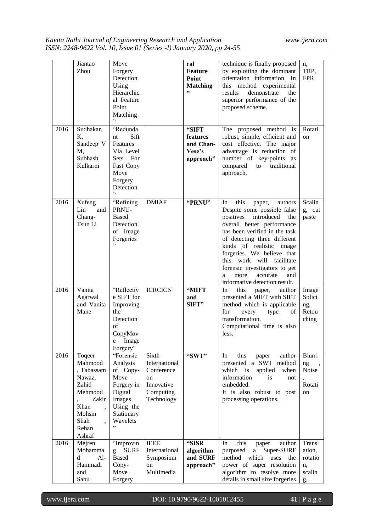|      | Jiantao<br>Zhou                                                                                                     | Move<br>Forgery<br>Detection<br>Using<br>Hierarchic<br>al Feature<br>Point<br>Matching                                    |                                                                                     | cal<br><b>Feature</b><br><b>Point</b><br><b>Matching</b><br>,, | technique is finally proposed<br>by exploiting the dominant<br>orientation information. In<br>this method experimental<br>results<br>demonstrate<br>the<br>superior performance of the<br>proposed scheme.                                                                                                                                                                                     | n,<br>TRP,<br><b>FPR</b>                          |
|------|---------------------------------------------------------------------------------------------------------------------|---------------------------------------------------------------------------------------------------------------------------|-------------------------------------------------------------------------------------|----------------------------------------------------------------|------------------------------------------------------------------------------------------------------------------------------------------------------------------------------------------------------------------------------------------------------------------------------------------------------------------------------------------------------------------------------------------------|---------------------------------------------------|
| 2016 | Sudhakar.<br>Κ.<br>Sandeep V<br>M,<br>Subhash<br>Kulkarni                                                           | "Redunda<br>Sift<br>nt<br>Features<br>Via Level<br>Sets For<br>Fast Copy<br>Move<br>Forgery<br>Detection                  |                                                                                     | "SIFT<br>features<br>and Chan-<br>Vese's<br>approach"          | The proposed method is<br>robust, simple, efficient and<br>cost effective. The major<br>advantage is reduction of<br>number of key-points<br>as<br>compared<br>traditional<br>to<br>approach.                                                                                                                                                                                                  | Rotati<br>on                                      |
| 2016 | Xufeng<br>Lin<br>and<br>Chang-<br>Tsun Li                                                                           | "Refining<br>PRNU-<br><b>Based</b><br>Detection<br>of Image<br>Forgeries                                                  | <b>DMIAF</b>                                                                        | "PRNU"                                                         | this<br>authors<br>In<br>paper,<br>Despite some possible false<br>introduced<br>positives<br>the<br>overall better performance<br>has been verified in the task<br>of detecting three different<br>kinds of realistic image<br>forgeries. We believe that<br>work will<br>facilitate<br>this<br>forensic investigators to get<br>and<br>accurate<br>more<br>a<br>informative detection result. | Scalin<br>g, cut<br>paste                         |
| 2016 | Vanita<br>Agarwal<br>and Vanita<br>Mane                                                                             | "Reflectiv<br>e SIFT for<br>Improving<br>the<br>Detection<br>of<br>CopyMov<br>e<br>Image<br>Forgery"                      | <b>ICRCICN</b>                                                                      | "MIFT<br>and<br>SIFT"                                          | In<br>this<br>author<br>paper,<br>presented a MIFT with SIFT<br>method which is applicable<br>for<br>type<br>every<br>οf<br>transformation.<br>Computational time is also<br>less.                                                                                                                                                                                                             | Image<br>Splici<br>ng,<br>Retou<br>ching          |
| 2016 | Toqeer<br>Mahmood<br>, Tabassam<br>Nawaz,<br>Zahid<br>Mehmood<br>Zakir<br>Khan<br>Mohsin<br>Shah<br>Rehan<br>Ashraf | "Forensic<br>Analysis<br>of Copy-<br>Move<br>Forgery in<br>Digital<br>Images<br>Using the<br>Stationary<br>Wavelets<br>,, | Sixth<br>International<br>Conference<br>on<br>Innovative<br>Computing<br>Technology | "SWT"                                                          | this<br>author<br>In<br>paper<br>presented a SWT method<br>which is<br>applied<br>when<br>information<br>is<br>not<br>embedded.<br>It is also robust to post<br>processing operations.                                                                                                                                                                                                         | Blurri<br>ng<br>Noise<br>Rotati<br>on             |
| 2016 | Mejren<br>Mohamma<br>d<br>$Al-$<br>Hammadi<br>and<br>Sabu                                                           | "Improvin<br><b>SURF</b><br><b>Based</b><br>Copy-<br>Move<br>Forgery                                                      | <b>IEEE</b><br>International<br>Symposium<br>on<br>Multimedia                       | "SISR<br>algorithm<br>and SURF<br>approach"                    | In<br>this<br>paper<br>author<br>purposed<br>Super-SURF<br>a<br>method which<br>uses<br>the<br>power of super resolution<br>algorithm to resolve more<br>details in small size forgeries                                                                                                                                                                                                       | Transl<br>ation,<br>rotatio<br>n,<br>scalin<br>g, |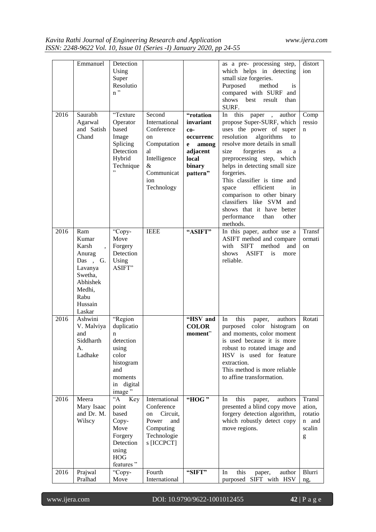| distort<br>which helps in detecting<br>ion<br>Using<br>small size forgeries.<br>Super<br>Resolutio<br>Purposed<br>method<br><i>is</i><br>$n$ "<br>compared with SURF and<br>shows best result<br>than<br>SURF.<br>"Texture<br>2016<br>Saurabh<br>Second<br>In this paper , author<br>"rotation<br>Comp<br>propose Super-SURF, which<br>ressio<br>Agarwal<br>International<br>invariant<br>Operator<br>and Satish<br>based<br>Conference<br>uses the power of super<br>co-<br>n<br>Chand<br>algorithms<br>resolution<br>Image<br>to<br>on<br>occurrenc<br>resolve more details in small<br>Computation<br>Splicing<br>e<br>among<br>Detection<br>al<br>adjacent<br>forgeries<br>size<br>as<br>preprocessing step, which<br>Hybrid<br>Intelligence<br>local<br>binary<br>helps in detecting small size<br>Technique<br>&<br>Communicat<br>pattern"<br>forgeries.<br>This classifier is time and<br>ion<br>efficient<br>Technology<br>space<br>in<br>comparison to other binary<br>classifiers like SVM and<br>shows that it have better<br>performance<br>than<br>other<br>methods.<br>Transf<br>2016<br>Ram<br>"Copy-<br><b>IEEE</b><br>In this paper, author use a<br>"ASIFT"<br>ASIFT method and compare<br>Kumar<br>Move<br>ormati<br><b>SIFT</b><br>Karsh<br>Forgery<br>with<br>method<br>and<br>on<br>$\ddot{\phantom{0}}$<br>Detection<br><b>ASIFT</b><br>shows<br>Anurag<br>is<br>more<br>Das, G.<br>Using<br>reliable.<br>ASIFT"<br>Lavanya<br>Swetha,<br>Abhishek<br>Medhi,<br>Rabu<br>Hussain<br>Laskar<br>"HSV and<br>this<br>2016<br>"Region<br>Rotati<br>Ashwini<br>In<br>authors<br>paper,<br>duplicatio<br><b>COLOR</b><br>purposed color histogram<br>V. Malviya<br>on<br>moment"<br>and moments, color moment<br>and<br>n<br>Siddharth<br>detection<br>is used because it is more<br>A.<br>robust to rotated image and<br>using<br>Ladhake<br>HSV is used for feature<br>color<br>histogram<br>extraction.<br>This method is more reliable<br>and<br>to affine transformation.<br>moments<br>in digital<br>image"<br>$A^{\omega}$<br>2016<br>Meera<br>Key<br>International<br>"HOG"<br>Transl<br>this<br>In<br>authors<br>paper,<br>presented a blind copy move<br>Mary Isaac<br>Conference<br>ation,<br>point<br>forgery detection algorithm,<br>and Dr. M.<br>based<br>Circuit,<br>rotatio<br>on<br>Wilscy<br>Power<br>which robustly detect copy<br>Copy-<br>n and<br>and<br>Move<br>Computing<br>move regions.<br>scalin<br>Technologie<br>Forgery<br>g<br>Detection<br>s [ICCPCT]<br>using<br><b>HOG</b><br>features"<br>Prajwal<br>Fourth<br>this<br>2016<br>"Copy-<br>"SIFT"<br>author<br>Blurri<br>In<br>paper, |          |           |               |                            |     |
|-----------------------------------------------------------------------------------------------------------------------------------------------------------------------------------------------------------------------------------------------------------------------------------------------------------------------------------------------------------------------------------------------------------------------------------------------------------------------------------------------------------------------------------------------------------------------------------------------------------------------------------------------------------------------------------------------------------------------------------------------------------------------------------------------------------------------------------------------------------------------------------------------------------------------------------------------------------------------------------------------------------------------------------------------------------------------------------------------------------------------------------------------------------------------------------------------------------------------------------------------------------------------------------------------------------------------------------------------------------------------------------------------------------------------------------------------------------------------------------------------------------------------------------------------------------------------------------------------------------------------------------------------------------------------------------------------------------------------------------------------------------------------------------------------------------------------------------------------------------------------------------------------------------------------------------------------------------------------------------------------------------------------------------------------------------------------------------------------------------------------------------------------------------------------------------------------------------------------------------------------------------------------------------------------------------------------------------------------------------------------------------------------------------------------------------------------------------------------------------------------------------------------------------------------------------------------------------------------------------------------------------------|----------|-----------|---------------|----------------------------|-----|
|                                                                                                                                                                                                                                                                                                                                                                                                                                                                                                                                                                                                                                                                                                                                                                                                                                                                                                                                                                                                                                                                                                                                                                                                                                                                                                                                                                                                                                                                                                                                                                                                                                                                                                                                                                                                                                                                                                                                                                                                                                                                                                                                                                                                                                                                                                                                                                                                                                                                                                                                                                                                                                         | Emmanuel | Detection |               | as a pre- processing step, |     |
|                                                                                                                                                                                                                                                                                                                                                                                                                                                                                                                                                                                                                                                                                                                                                                                                                                                                                                                                                                                                                                                                                                                                                                                                                                                                                                                                                                                                                                                                                                                                                                                                                                                                                                                                                                                                                                                                                                                                                                                                                                                                                                                                                                                                                                                                                                                                                                                                                                                                                                                                                                                                                                         |          |           |               |                            |     |
|                                                                                                                                                                                                                                                                                                                                                                                                                                                                                                                                                                                                                                                                                                                                                                                                                                                                                                                                                                                                                                                                                                                                                                                                                                                                                                                                                                                                                                                                                                                                                                                                                                                                                                                                                                                                                                                                                                                                                                                                                                                                                                                                                                                                                                                                                                                                                                                                                                                                                                                                                                                                                                         |          |           |               |                            |     |
|                                                                                                                                                                                                                                                                                                                                                                                                                                                                                                                                                                                                                                                                                                                                                                                                                                                                                                                                                                                                                                                                                                                                                                                                                                                                                                                                                                                                                                                                                                                                                                                                                                                                                                                                                                                                                                                                                                                                                                                                                                                                                                                                                                                                                                                                                                                                                                                                                                                                                                                                                                                                                                         |          |           |               |                            |     |
|                                                                                                                                                                                                                                                                                                                                                                                                                                                                                                                                                                                                                                                                                                                                                                                                                                                                                                                                                                                                                                                                                                                                                                                                                                                                                                                                                                                                                                                                                                                                                                                                                                                                                                                                                                                                                                                                                                                                                                                                                                                                                                                                                                                                                                                                                                                                                                                                                                                                                                                                                                                                                                         |          |           |               |                            |     |
|                                                                                                                                                                                                                                                                                                                                                                                                                                                                                                                                                                                                                                                                                                                                                                                                                                                                                                                                                                                                                                                                                                                                                                                                                                                                                                                                                                                                                                                                                                                                                                                                                                                                                                                                                                                                                                                                                                                                                                                                                                                                                                                                                                                                                                                                                                                                                                                                                                                                                                                                                                                                                                         | Pralhad  | Move      | International | purposed SIFT with HSV     | ng, |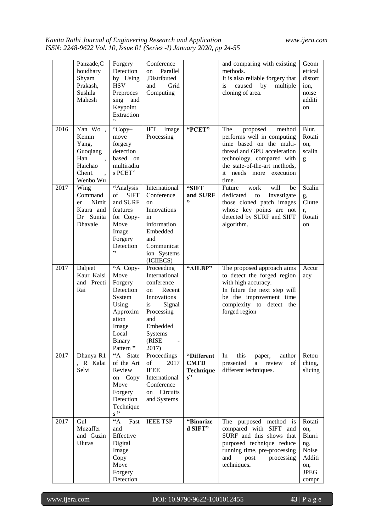|      | Panzade,C<br>houdhary<br>Shyam<br>Prakash,<br>Sushila<br>Mahesh              | Forgery<br>Detection<br>by Using<br><b>HSV</b><br>Preproces<br>sing and<br>Keypoint<br>Extraction<br>,                    | Conference<br>Parallel<br>on<br>,Distributed<br>and<br>Grid<br>Computing                                                                                      |                                                     | and comparing with existing<br>methods.<br>It is also reliable forgery that<br>multiple<br>caused<br>by<br>is<br>cloning of area.                                                                                    | Geom<br>etrical<br>distort<br>ion,<br>noise<br>additi<br>on                      |
|------|------------------------------------------------------------------------------|---------------------------------------------------------------------------------------------------------------------------|---------------------------------------------------------------------------------------------------------------------------------------------------------------|-----------------------------------------------------|----------------------------------------------------------------------------------------------------------------------------------------------------------------------------------------------------------------------|----------------------------------------------------------------------------------|
| 2016 | Yan Wo,<br>Kemin<br>Yang,<br>Guoqiang<br>Han<br>Haichao<br>Chen1<br>Wenbo Wu | "Copy-<br>move<br>forgery<br>detection<br>based on<br>multiradiu<br>s PCET"                                               | <b>IET</b><br>Image<br>Processing                                                                                                                             | "PCET"                                              | The<br>proposed<br>method<br>performs well in computing<br>time based on the multi-<br>thread and GPU acceleration<br>technology, compared with<br>the state-of-the-art methods,<br>it needs more execution<br>time. | Blur,<br>Rotati<br>on,<br>scalin<br>g                                            |
| 2017 | Wing<br>Command<br>Nimit<br>er<br>Kaura and<br>Dr Sunita<br>Dhavale          | "Analysis<br>of<br><b>SIFT</b><br>and SURF<br>features<br>for Copy-<br>Move<br>Image<br>Forgery<br>Detection<br>,,        | International<br>Conference<br><sub>on</sub><br>Innovations<br>in<br>information<br>Embedded<br>and<br>Communicat<br>ion Systems<br>(ICIIECS)                 | "SIFT<br>and SURF<br>,,                             | will<br>Future<br>work<br>be<br>dedicated<br>investigate<br>to<br>those cloned patch images<br>whose key points are not<br>detected by SURF and SIFT<br>algorithm.                                                   | Scalin<br>g,<br>Clutte<br>r,<br>Rotati<br>on                                     |
| 2017 | Daljeet<br>Kaur Kalsi<br>and Preeti<br>Rai                                   | "A Copy-<br>Move<br>Forgery<br>Detection<br>System<br>Using<br>Approxim<br>ation<br>Image<br>Local<br>Binary<br>Pattern " | Proceeding<br>International<br>conference<br>Recent<br>on<br>Innovations<br>Signal<br>is<br>Processing<br>and<br>Embedded<br><b>Systems</b><br>(RISE<br>2017) | "AILBP"                                             | The proposed approach aims<br>to detect the forged region<br>with high accuracy.<br>In future the next step will<br>be the improvement time<br>complexity to detect the<br>forged region                             | Accur<br>acy                                                                     |
| 2017 | Dhanya R1<br>, R Kalai<br>Selvi                                              | $\overline{A}$ State<br>of the Art<br>Review<br>on Copy<br>Move<br>Forgery<br>Detection<br>Technique<br>$s$ "             | Proceedings<br>of<br>2017<br><b>IEEE</b><br>International<br>Conference<br>on Circuits<br>and Systems                                                         | "Different<br><b>CMFD</b><br><b>Technique</b><br>s" | this<br>In<br>author<br>paper,<br>a review<br>presented<br>of<br>different techniques.                                                                                                                               | Retou<br>ching,<br>slicing                                                       |
| 2017 | Gul<br>Muzaffer<br>and Guzin<br><b>Ulutas</b>                                | $\mathbf{A}^*$<br>Fast<br>and<br>Effective<br>Digital<br>Image<br>Copy<br>Move<br>Forgery<br>Detection                    | <b>IEEE TSP</b>                                                                                                                                               | "Binarize<br>d SIFT"                                | purposed method is<br>The<br>compared with SIFT and<br>SURF and this shows that<br>purposed technique reduce<br>running time, pre-processing<br>processing<br>and<br>post<br>techniques.                             | Rotati<br>on,<br>Blurri<br>ng,<br>Noise<br>Additi<br>on,<br><b>JPEG</b><br>compr |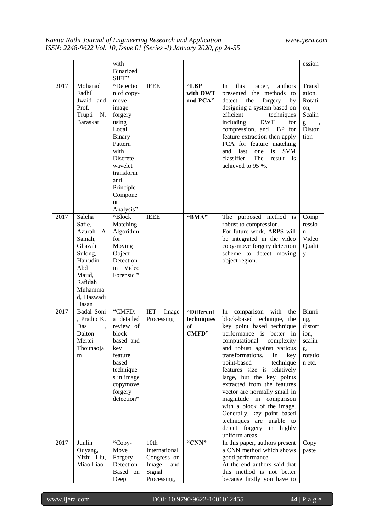|      |                                                                                                                                           | with<br><b>Binarized</b>                                                                                                                                                                  |                                   |                                         |                                                                                                                                                                                                                                                                                                                                                                                                                                                                                                                                              | ession                                                                |
|------|-------------------------------------------------------------------------------------------------------------------------------------------|-------------------------------------------------------------------------------------------------------------------------------------------------------------------------------------------|-----------------------------------|-----------------------------------------|----------------------------------------------------------------------------------------------------------------------------------------------------------------------------------------------------------------------------------------------------------------------------------------------------------------------------------------------------------------------------------------------------------------------------------------------------------------------------------------------------------------------------------------------|-----------------------------------------------------------------------|
|      |                                                                                                                                           | SIFT"                                                                                                                                                                                     |                                   |                                         |                                                                                                                                                                                                                                                                                                                                                                                                                                                                                                                                              |                                                                       |
| 2017 | Mohanad                                                                                                                                   | "Detectio                                                                                                                                                                                 | <b>IEEE</b>                       | "LBP                                    | this<br>In<br>authors<br>paper,                                                                                                                                                                                                                                                                                                                                                                                                                                                                                                              | Transl                                                                |
|      | Fadhil<br>Jwaid and<br>Prof.<br>Trupti<br>N.<br><b>Baraskar</b>                                                                           | n of copy-<br>move<br>image<br>forgery<br>using<br>Local<br><b>Binary</b><br>Pattern<br>with<br><b>Discrete</b><br>wavelet<br>transform<br>and<br>Principle<br>Compone<br>nt<br>Analysis" |                                   | with DWT<br>and PCA"                    | presented the methods<br>to<br>the<br>forgery<br>detect<br>by<br>designing a system based on<br>efficient<br>techniques<br><b>DWT</b><br>including<br>for<br>compression, and LBP for<br>feature extraction then apply<br>PCA for feature matching<br>last<br>one<br>is<br><b>SVM</b><br>and<br>classifier.<br>The<br>result<br>is<br>achieved to 95 %.                                                                                                                                                                                      | ation,<br>Rotati<br>on,<br>Scalin<br>g<br>Distor<br>tion              |
| 2017 | Saleha<br>Safie,<br>Azurah<br>A<br>Samah,<br>Ghazali<br>Sulong,<br>Hairudin<br>Abd<br>Majid,<br>Rafidah<br>Muhamma<br>d, Haswadi<br>Hasan | "Block<br>Matching<br>Algorithm<br>for<br>Moving<br>Object<br>Detection<br>Video<br>in<br>Forensic "                                                                                      | <b>IEEE</b>                       | "BMA"                                   | The purposed method is<br>robust to compression.<br>For future work, ARPS will<br>be integrated in the video<br>copy-move forgery detection<br>scheme to detect moving<br>object region.                                                                                                                                                                                                                                                                                                                                                     | Comp<br>ressio<br>n,<br>Video<br>Qualit<br>y                          |
| 2017 | Badal Soni<br>, Pradip K.<br>Das<br>Dalton<br>Meitei<br>Thounaoja<br>m                                                                    | "CMFD:<br>a detailed<br>review of<br>block<br>based and<br>key<br>feature<br>based<br>technique<br>s in image<br>copymove<br>forgery<br>detection"                                        | <b>IET</b><br>Image<br>Processing | "Different<br>techniques<br>of<br>CMFD" | comparison with<br>the<br>In<br>block-based technique, the<br>key point based technique<br>performance is better in<br>computational<br>complexity<br>and robust against various<br>transformations.<br>In<br>key<br>point-based<br>technique<br>features size is relatively<br>large, but the key points<br>extracted from the features<br>vector are normally small in<br>magnitude in comparison<br>with a block of the image.<br>Generally, key point based<br>techniques are unable to<br>detect forgery<br>in highly<br>uniform areas. | Blurri<br>ng,<br>distort<br>ion,<br>scalin<br>g,<br>rotatio<br>n etc. |
| 2017 | Junlin                                                                                                                                    | "Copy-                                                                                                                                                                                    | 10th                              | "CNN"                                   | In this paper, authors present                                                                                                                                                                                                                                                                                                                                                                                                                                                                                                               | Copy                                                                  |
|      | Ouyang,                                                                                                                                   | Move                                                                                                                                                                                      | International                     |                                         | a CNN method which shows                                                                                                                                                                                                                                                                                                                                                                                                                                                                                                                     | paste                                                                 |
|      | Yizhi Liu,<br>Miao Liao                                                                                                                   | Forgery<br>Detection                                                                                                                                                                      | Congress on<br>Image<br>and       |                                         | good performance.<br>At the end authors said that                                                                                                                                                                                                                                                                                                                                                                                                                                                                                            |                                                                       |
|      |                                                                                                                                           | Based on                                                                                                                                                                                  | Signal                            |                                         | this method is not better                                                                                                                                                                                                                                                                                                                                                                                                                                                                                                                    |                                                                       |
|      |                                                                                                                                           | Deep                                                                                                                                                                                      | Processing,                       |                                         | because firstly you have to                                                                                                                                                                                                                                                                                                                                                                                                                                                                                                                  |                                                                       |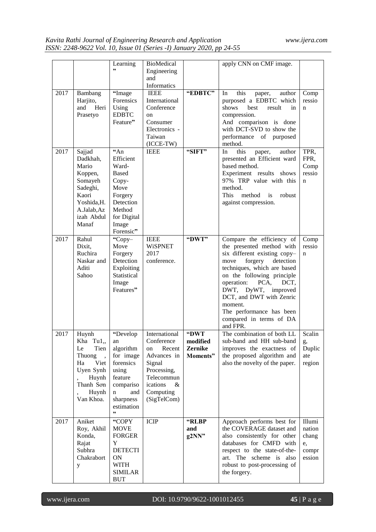|      |                                                                                                                             | Learning<br>,,                                                                                                                          | <b>BioMedical</b><br>Engineering<br>and<br>Informatics                                                                                            |                                         | apply CNN on CMF image.                                                                                                                                                                                                                                                                                                                            |                                                    |
|------|-----------------------------------------------------------------------------------------------------------------------------|-----------------------------------------------------------------------------------------------------------------------------------------|---------------------------------------------------------------------------------------------------------------------------------------------------|-----------------------------------------|----------------------------------------------------------------------------------------------------------------------------------------------------------------------------------------------------------------------------------------------------------------------------------------------------------------------------------------------------|----------------------------------------------------|
| 2017 | Bambang<br>Harjito,<br>and Heri<br>Prasetyo                                                                                 | "Image<br>Forensics<br>Using<br><b>EDBTC</b><br>Feature"                                                                                | <b>IEEE</b><br>International<br>Conference<br>on<br>Consumer<br>Electronics -<br>Taiwan<br>$(ICCE-TW)$                                            | "EDBTC"                                 | this<br>In<br>author<br>paper,<br>purposed a EDBTC which<br>shows<br>best<br>result<br>in<br>compression.<br>And comparison is done<br>with DCT-SVD to show the<br>performance of purposed<br>method.                                                                                                                                              | Comp<br>ressio<br>n                                |
| 2017 | Sajjad<br>Dadkhah,<br>Mario<br>Koppen,<br>Somayeh<br>Sadeghi,<br>Kaori<br>Yoshida, H.<br>A.Jalab, Az<br>izah Abdul<br>Manaf | 44n<br>Efficient<br>Ward-<br><b>Based</b><br>Copy-<br>Move<br>Forgery<br>Detection<br>Method<br>for Digital<br>Image<br>Forensic"       | <b>IEEE</b>                                                                                                                                       | "SIFT"                                  | this<br>In<br>author<br>paper,<br>presented an Efficient ward<br>based method.<br>Experiment results shows<br>97% TRP value with this<br>method.<br>This<br>method<br>$\frac{1}{1}$<br>robust<br>against compression.                                                                                                                              | TPR,<br>FPR,<br>Comp<br>ressio<br>n                |
| 2017 | Rahul<br>Dixit,<br>Ruchira<br>Naskar and<br>Aditi<br>Sahoo                                                                  | "Copy-<br>Move<br>Forgery<br>Detection<br>Exploiting<br>Statistical<br>Image<br>Features"                                               | <b>IEEE</b><br><b>WiSPNET</b><br>2017<br>conference.                                                                                              | "DWT"                                   | Compare the efficiency of<br>the presented method with<br>six different existing copy-<br>forgery<br>detection<br>move<br>techniques, which are based<br>on the following principle<br>operation:<br>PCA,<br>DCT,<br>DWT, DyWT, improved<br>DCT, and DWT with Zenric<br>moment.<br>The performance has been<br>compared in terms of DA<br>and FPR. | Comp<br>ressio<br>n                                |
| 2017 | Huynh<br>Tu1,<br>Kha<br>Le<br>Tien<br>Thuong<br>Viet<br>Ha<br>Uyen Synh<br>Huynh<br>Thanh Son<br>Huynh<br>Van Khoa.         | "Develop<br>an<br>algorithm<br>for image<br>forensics<br>using<br>feature<br>compariso<br>$\mathbf n$<br>and<br>sharpness<br>estimation | International<br>Conference<br>Recent<br>on<br>Advances in<br>Signal<br>Processing,<br>Telecommun<br>$\&$<br>ications<br>Computing<br>(SigTelCom) | "DWT<br>modified<br>Zernike<br>Moments" | The combination of both LL<br>sub-band and HH sub-band<br>improves the exactness of<br>the proposed algorithm and<br>also the novelty of the paper.                                                                                                                                                                                                | Scalin<br>g,<br>Duplic<br>ate<br>region            |
| 2017 | Aniket<br>Roy, Akhil<br>Konda,<br>Rajat<br>Subhra<br>Chakrabort<br>y                                                        | "COPY<br><b>MOVE</b><br><b>FORGER</b><br>Y<br><b>DETECTI</b><br>ON<br><b>WITH</b><br><b>SIMILAR</b><br><b>BUT</b>                       | <b>ICIP</b>                                                                                                                                       | "RLBP<br>and<br>g2NN"                   | Approach performs best for<br>the COVERAGE dataset and<br>also consistently for other<br>databases for CMFD with<br>respect to the state-of-the-<br>The scheme is also<br>art.<br>robust to post-processing of<br>the forgery.                                                                                                                     | Illumi<br>nation<br>chang<br>e,<br>compr<br>ession |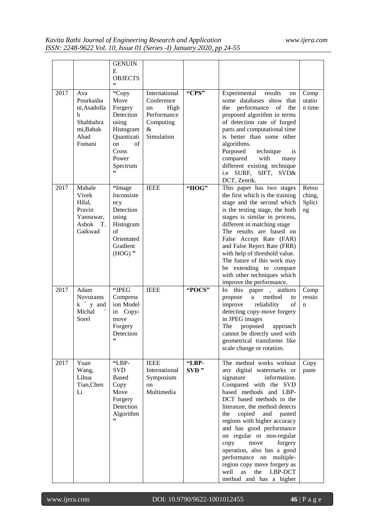|      |                                                                                      | <b>GENUIN</b><br>E                                                                                                             |                                                                                          |               |                                                                                                                                                                                                                                                                                                                                                                                                                                                                                                                      |                                 |
|------|--------------------------------------------------------------------------------------|--------------------------------------------------------------------------------------------------------------------------------|------------------------------------------------------------------------------------------|---------------|----------------------------------------------------------------------------------------------------------------------------------------------------------------------------------------------------------------------------------------------------------------------------------------------------------------------------------------------------------------------------------------------------------------------------------------------------------------------------------------------------------------------|---------------------------------|
|      |                                                                                      | <b>OBJECTS</b>                                                                                                                 |                                                                                          |               |                                                                                                                                                                                                                                                                                                                                                                                                                                                                                                                      |                                 |
|      |                                                                                      | ,,                                                                                                                             |                                                                                          |               |                                                                                                                                                                                                                                                                                                                                                                                                                                                                                                                      |                                 |
| 2017 | Ava<br>Pourkasha<br>ni, Asadolla<br>h<br>Shahbahra<br>mi, Babak<br>Abad<br>Fomani    | "Copy<br>Move<br>Forgery<br>Detection<br>using<br>Histogram<br>Quantizati<br>of<br><sub>on</sub><br>Cross<br>Power<br>Spectrum | International<br>Conference<br>High<br>on<br>Performance<br>Computing<br>&<br>Simulation | "CPS"         | Experimental<br>results<br>on<br>some databases show<br>that<br>performance<br>of<br>the<br>the<br>proposed algorithm in terms<br>of detection rate of forged<br>parts and computational time<br>is better than some other<br>algorithms.<br>Purposed<br>technique<br><i>is</i><br>compared<br>with<br>many<br>different existing technique                                                                                                                                                                          | Comp<br>utatio<br>n time        |
|      |                                                                                      | ,,                                                                                                                             |                                                                                          |               | i.e SURF, SIFT, SVD&                                                                                                                                                                                                                                                                                                                                                                                                                                                                                                 |                                 |
|      |                                                                                      |                                                                                                                                |                                                                                          |               | DCT, Zenrik.                                                                                                                                                                                                                                                                                                                                                                                                                                                                                                         |                                 |
| 2017 | Mahale<br>Vivek<br>Hilal,<br>Pravin<br>Yannawar,<br>Ashok<br>$T_{\rm{L}}$<br>Gaikwad | "Image<br>Inconsiste<br>ncy<br>Detection<br>using<br>Histogram<br>of<br>Orientated<br>Gradient<br>$(HOG)$ "                    | <b>IEEE</b>                                                                              | "HOG"         | This paper has two stages<br>the first which is the training<br>stage and the second which<br>is the testing stage, the both<br>stages is similar in process,<br>different in matching stage<br>The results are based on<br>False Accept Rate (FAR)<br>and False Reject Rate (FRR)<br>with help of threshold value.<br>The future of this work may<br>be extending to compare<br>with other techniques which<br>improve the performance.                                                                             | Retou<br>ching,<br>Splici<br>ng |
| 2017 | Adam<br>Novozams<br>$k'$ y and<br>Michal<br>Sorel                                    | "JPEG<br>Compress<br>ion Model<br>in Copy-<br>move<br>Forgery<br>Detection<br>,,                                               | <b>IEEE</b>                                                                              | "POCS"        | this<br>In<br>paper, authors<br>method<br>propose<br>a<br>to<br>improve<br>reliability<br>of<br>detecting copy-move forgery<br>in JPEG images<br>The<br>proposed<br>approach<br>cannot be directly used with<br>geometrical transforms like<br>scale change or rotation.                                                                                                                                                                                                                                             | Comp<br>ressio<br>$\mathbf n$   |
| 2017 | Yuan<br>Wang,<br>Lihua<br>Tian, Chen<br>Li                                           | "LBP-<br>SVD.<br><b>Based</b><br>Copy<br>Move<br>Forgery<br>Detection<br>Algorithm<br>,,                                       | <b>IEEE</b><br>International<br>Symposium<br>on<br>Multimedia                            | "LBP-<br>SVD" | The method works without<br>any digital watermarks or<br>signature<br>information.<br>Compared with the SVD<br>based methods and LBP-<br>DCT based methods in the<br>literature, the method detects<br>copied<br>the<br>and<br>pasted<br>regions with higher accuracy<br>and has good performance<br>on regular or non-regular<br>copy<br>move<br>forgery<br>operation, also has a good<br>performance on multiple-<br>region copy move forgery as<br>well<br>LBP-DCT<br><b>as</b><br>the<br>method and has a higher | Copy<br>paste                   |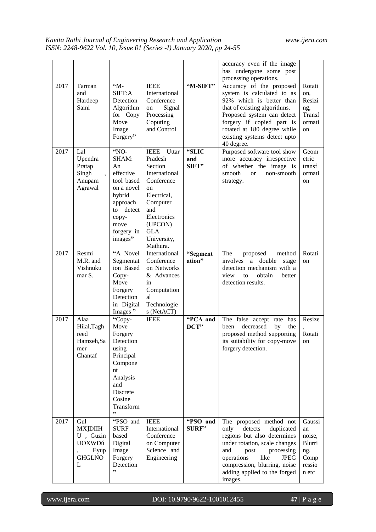|      |                                         |                       |                              |                    | accuracy even if the image<br>has undergone some post<br>processing operations. |                  |
|------|-----------------------------------------|-----------------------|------------------------------|--------------------|---------------------------------------------------------------------------------|------------------|
| 2017 | Tarman                                  | "M-<br>SIFT:A         | <b>IEEE</b><br>International | "M-SIFT"           | Accuracy of the proposed                                                        | Rotati           |
|      | and<br>Hardeep                          | Detection             | Conference                   |                    | system is calculated to as<br>92% which is better than                          | on,<br>Resizi    |
|      | Saini                                   | Algorithm             | Signal<br>on                 |                    | that of existing algorithms.                                                    | ng,              |
|      |                                         | for Copy<br>Move      | Processing<br>Coputing       |                    | Proposed system can detect<br>forgery if copied part is                         | Transf<br>ormati |
|      |                                         | Image                 | and Control                  |                    | rotated at 180 degree while                                                     | on               |
|      |                                         | Forgery"              |                              |                    | existing systems detect upto<br>40 degree.                                      |                  |
| 2017 | Lal                                     | "NO-                  | <b>IEEE</b><br>Uttar         | "SLIC              | Purposed software tool show                                                     | Geom             |
|      | Upendra                                 | SHAM:                 | Pradesh                      | and                | more accuracy irrespective                                                      | etric            |
|      | Pratap<br>Singh<br>$\ddot{\phantom{0}}$ | An<br>effective       | Section<br>International     | SIFT"              | of whether the image is<br>smooth<br>non-smooth<br><sub>or</sub>                | transf<br>ormati |
|      | Anupam                                  | tool based            | Conference                   |                    | strategy.                                                                       | on               |
|      | Agrawal                                 | on a novel            | on                           |                    |                                                                                 |                  |
|      |                                         | hybrid<br>approach    | Electrical,<br>Computer      |                    |                                                                                 |                  |
|      |                                         | to detect             | and                          |                    |                                                                                 |                  |
|      |                                         | copy-                 | Electronics                  |                    |                                                                                 |                  |
|      |                                         | move<br>forgery in    | (UPCON)<br><b>GLA</b>        |                    |                                                                                 |                  |
|      |                                         | images"               | University,                  |                    |                                                                                 |                  |
|      |                                         |                       | Mathura.                     |                    |                                                                                 |                  |
| 2017 | Resmi<br>M.R. and                       | "A Novel<br>Segmentat | International<br>Conference  | "Segment<br>ation" | The<br>proposed<br>method<br>involves<br>a double<br>stage                      | Rotati<br>on     |
|      | Vishnuku                                | ion Based             | on Networks                  |                    | detection mechanism with a                                                      |                  |
|      | mar S.                                  | Copy-                 | & Advances                   |                    | view<br>obtain<br>to<br>better                                                  |                  |
|      |                                         | Move<br>Forgery       | in<br>Computation            |                    | detection results.                                                              |                  |
|      |                                         | Detection             | al                           |                    |                                                                                 |                  |
|      |                                         | in Digital            | Technologie                  |                    |                                                                                 |                  |
| 2017 | Alaa                                    | Images"<br>"Copy-     | s (NetACT)<br><b>IEEE</b>    | "PCA and           | The false accept rate has                                                       | Resize           |
|      | Hilal, Tagh                             | Move                  |                              | DCT"               | decreased<br>been<br>by<br>the                                                  |                  |
|      | reed                                    | Forgery               |                              |                    | proposed method supporting                                                      | Rotati           |
|      | Hamzeh, Sa<br>mer                       | Detection<br>using    |                              |                    | its suitability for copy-move<br>forgery detection.                             | on               |
|      | Chantaf                                 | Principal             |                              |                    |                                                                                 |                  |
|      |                                         | Compone               |                              |                    |                                                                                 |                  |
|      |                                         | nt<br>Analysis        |                              |                    |                                                                                 |                  |
|      |                                         | and                   |                              |                    |                                                                                 |                  |
|      |                                         | Discrete              |                              |                    |                                                                                 |                  |
|      |                                         | Cosine<br>Transform   |                              |                    |                                                                                 |                  |
|      |                                         | ,,                    |                              |                    |                                                                                 |                  |
| 2017 | Gul                                     | "PSO and              | <b>IEEE</b>                  | "PSO and           | The proposed method not                                                         | Gaussi           |
|      | <b>MX</b> ]DIIH<br>U, Guzin             | <b>SURF</b><br>based  | International<br>Conference  | <b>SURF"</b>       | only<br>detects<br>duplicated<br>regions but also determines                    | an<br>noise,     |
|      | <b>UOXWDú</b>                           | Digital               | on Computer                  |                    | under rotation, scale changes                                                   | Blurri           |
|      | Eyup                                    | Image                 | Science and                  |                    | and<br>post<br>processing                                                       | ng,              |
|      | <b>GHGLNO</b><br>L                      | Forgery<br>Detection  | Engineering                  |                    | like<br>operations<br><b>JPEG</b><br>compression, blurring, noise               | Comp<br>ressio   |
|      |                                         | ,,                    |                              |                    | adding applied to the forged                                                    | n etc            |
|      |                                         |                       |                              |                    | images.                                                                         |                  |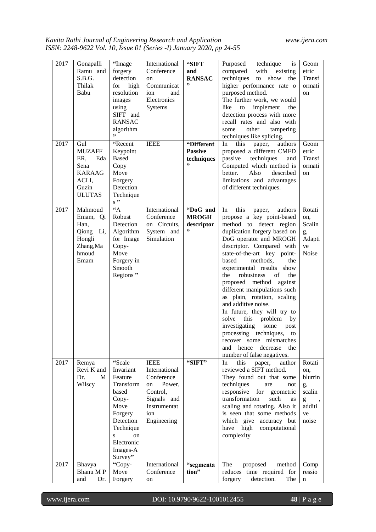| 2017<br>2017 | Gonapalli<br>Ramu and<br>S.B.G.<br>Thilak<br>Babu<br>Gul                                | "Image<br>forgery<br>detection<br>for high<br>resolution<br>images<br>using<br>SIFT and<br><b>RANSAC</b><br>algorithm<br>,,<br>"Recent                     | International<br>Conference<br>on<br>Communicat<br>ion<br>and<br>Electronics<br>Systems<br><b>IEEE</b>                      | "SIFT<br>and<br><b>RANSAC</b><br>,,<br>"Different | Purposed<br>technique<br>is<br>with<br>compared<br>existing<br>techniques<br>show<br>to<br>the<br>higher performance rate o<br>purposed method.<br>The further work, we would<br>implement<br>like<br>to<br>the<br>detection process with more<br>recall rates and also with<br>other<br>some<br>tampering<br>techniques like splicing.<br>this<br>authors                                                                                                                                                                                                                                                                                           | Geom<br>etric<br>Transf<br>ormati<br>on<br>Geom                        |
|--------------|-----------------------------------------------------------------------------------------|------------------------------------------------------------------------------------------------------------------------------------------------------------|-----------------------------------------------------------------------------------------------------------------------------|---------------------------------------------------|------------------------------------------------------------------------------------------------------------------------------------------------------------------------------------------------------------------------------------------------------------------------------------------------------------------------------------------------------------------------------------------------------------------------------------------------------------------------------------------------------------------------------------------------------------------------------------------------------------------------------------------------------|------------------------------------------------------------------------|
|              | <b>MUZAFF</b><br>ER,<br>Eda<br>Sena<br><b>KARAAG</b><br>ACLI,<br>Guzin<br><b>ULUTAS</b> | Keypoint<br><b>Based</b><br>Copy<br>Move<br>Forgery<br>Detection<br>Technique<br>$s$ "                                                                     |                                                                                                                             | <b>Passive</b><br>techniques                      | paper,<br>In.<br>proposed a different CMFD<br>passive<br>techniques<br>and<br>Computed which method is<br>better.<br>Also<br>described<br>limitations and advantages<br>of different techniques.                                                                                                                                                                                                                                                                                                                                                                                                                                                     | etric<br>Transf<br>ormati<br>on                                        |
| 2017         | Mahmoud<br>Emam, Qi<br>Han,<br>Qiong Li,<br>Hongli<br>Zhang, Ma<br>hmoud<br>Emam        | $44^{\circ}$<br>Robust<br>Detection<br>Algorithm<br>for Image<br>Copy-<br>Move<br>Forgery in<br>Smooth<br>Regions"                                         | International<br>Conference<br>on Circuits,<br>System and<br>Simulation                                                     | "DoG and<br><b>MROGH</b><br>descriptor<br>,,      | this<br>In<br>paper,<br>authors<br>propose a key point-based<br>method to detect region<br>duplication forgery based on<br>DoG operator and MROGH<br>descriptor. Compared with<br>state-of-the-art key point-<br>methods,<br>based<br>the<br>experimental results show<br>of<br>the<br>robustness<br>the<br>proposed method against<br>different manipulations such<br>as plain, rotation, scaling<br>and additive noise.<br>In future, they will try to<br>this problem<br>solve<br>by<br>investigating<br>some<br>post<br>processing techniques,<br>to<br>recover some mismatches<br>hence<br>decrease<br>the<br>and<br>number of false negatives. | Rotati<br>on,<br>Scalin<br>g,<br>Adapti<br>ve<br>Noise                 |
| 2017         | Remya<br>Revi K and<br>Dr.<br>M<br>Wilscy                                               | "Scale<br>Invariant<br>Feature<br>Transform<br>based<br>Copy-<br>Move<br>Forgery<br>Detection<br>Technique<br>S<br>on<br>Electronic<br>Images-A<br>Survey" | <b>IEEE</b><br>International<br>Conference<br>Power,<br>on<br>Control,<br>Signals and<br>Instrumentat<br>ion<br>Engineering | "SIFT"                                            | this<br>In<br>paper,<br>author<br>reviewed a SIFT method.<br>They found out that some<br>techniques<br>are<br>not<br>responsive<br>for<br>geometric<br>transformation<br>such<br>as<br>scaling and rotating. Also it<br>is seen that some methods<br>which give accuracy but<br>computational<br>high<br>have<br>complexity                                                                                                                                                                                                                                                                                                                          | Rotati<br>on,<br>blurrin<br>g,<br>scalin<br>g<br>additi<br>ve<br>noise |
| 2017         | Bhavya                                                                                  | "Copy-                                                                                                                                                     | International                                                                                                               | "segmenta                                         | The<br>proposed<br>method                                                                                                                                                                                                                                                                                                                                                                                                                                                                                                                                                                                                                            | Comp                                                                   |
|              | Bhanu MP                                                                                | Move                                                                                                                                                       | Conference                                                                                                                  | tion"                                             | reduces time required for                                                                                                                                                                                                                                                                                                                                                                                                                                                                                                                                                                                                                            | ressio                                                                 |
|              | and<br>Dr.                                                                              | Forgery                                                                                                                                                    | on                                                                                                                          |                                                   | detection.<br>The<br>forgery                                                                                                                                                                                                                                                                                                                                                                                                                                                                                                                                                                                                                         | n                                                                      |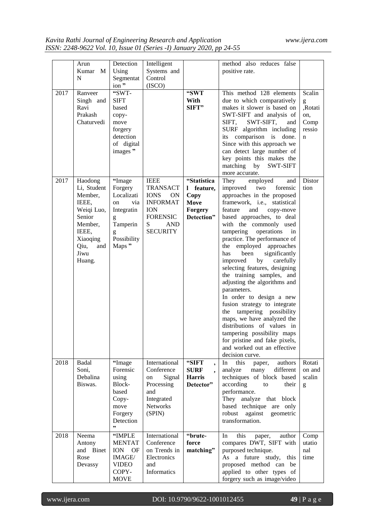|      | Arun            | Detection                                                                                                                                                                                                                                                                                                                                                                                                                      | Intelligent                 |                                   | method also reduces false                    |                  |
|------|-----------------|--------------------------------------------------------------------------------------------------------------------------------------------------------------------------------------------------------------------------------------------------------------------------------------------------------------------------------------------------------------------------------------------------------------------------------|-----------------------------|-----------------------------------|----------------------------------------------|------------------|
|      | Kumar M<br>N    | Using                                                                                                                                                                                                                                                                                                                                                                                                                          | Systems and<br>Control      |                                   | positive rate.                               |                  |
|      |                 | Segmentat                                                                                                                                                                                                                                                                                                                                                                                                                      |                             |                                   |                                              |                  |
| 2017 | Ranveer         | ion"<br>"SWT-                                                                                                                                                                                                                                                                                                                                                                                                                  | (ISCO)                      | "SWT                              | This method 128 elements                     | Scalin           |
|      |                 |                                                                                                                                                                                                                                                                                                                                                                                                                                |                             |                                   |                                              |                  |
|      | Singh and       | <b>SIFT</b>                                                                                                                                                                                                                                                                                                                                                                                                                    |                             | With                              | due to which comparatively                   | g<br>,Rotati     |
|      | Ravi<br>Prakash | based                                                                                                                                                                                                                                                                                                                                                                                                                          |                             | SIFT"                             | makes it slower is based on                  |                  |
|      |                 | copy-                                                                                                                                                                                                                                                                                                                                                                                                                          |                             |                                   | SWT-SIFT and analysis of<br>SWT-SIFT,        | on,              |
|      | Chaturvedi      | move<br>forgery                                                                                                                                                                                                                                                                                                                                                                                                                |                             |                                   | SIFT,<br>and<br>SURF algorithm including     | Comp<br>ressio   |
|      |                 | detection                                                                                                                                                                                                                                                                                                                                                                                                                      |                             |                                   | its comparison is done.                      |                  |
|      |                 | of digital                                                                                                                                                                                                                                                                                                                                                                                                                     |                             |                                   | Since with this approach we                  | n                |
|      |                 | images"                                                                                                                                                                                                                                                                                                                                                                                                                        |                             |                                   | can detect large number of                   |                  |
|      |                 |                                                                                                                                                                                                                                                                                                                                                                                                                                |                             |                                   | key points this makes the                    |                  |
|      |                 |                                                                                                                                                                                                                                                                                                                                                                                                                                |                             |                                   | matching<br>by<br>SWT-SIFT                   |                  |
|      |                 |                                                                                                                                                                                                                                                                                                                                                                                                                                |                             |                                   | more accurate.                               |                  |
| 2017 | Haodong         | "Image                                                                                                                                                                                                                                                                                                                                                                                                                         | <b>IEEE</b>                 | "Statistica                       | employed<br>They<br>and                      | Distor           |
|      | Li, Student     | Forgery                                                                                                                                                                                                                                                                                                                                                                                                                        | <b>TRANSACT</b>             | l feature,                        | improved<br>two<br>forensic                  | tion             |
|      | Member,         | Localizati                                                                                                                                                                                                                                                                                                                                                                                                                     | <b>IONS</b><br>ON           | Copy                              | approaches in the proposed                   |                  |
|      | IEEE,           | via<br>on                                                                                                                                                                                                                                                                                                                                                                                                                      | <b>INFORMAT</b>             | Move                              | framework, i.e., statistical                 |                  |
|      | Weiqi Luo,      | Integratin                                                                                                                                                                                                                                                                                                                                                                                                                     | <b>ION</b>                  | <b>Forgery</b>                    | feature<br>and<br>copy-move                  |                  |
|      | Senior          | $\mathbf{g}% _{T}=\mathbf{g}_{T}=\mathbf{g}_{T}=\mathbf{g}_{T}=\mathbf{g}_{T}=\mathbf{g}_{T}=\mathbf{g}_{T}=\mathbf{g}_{T}=\mathbf{g}_{T}=\mathbf{g}_{T}=\mathbf{g}_{T}=\mathbf{g}_{T}=\mathbf{g}_{T}=\mathbf{g}_{T}=\mathbf{g}_{T}=\mathbf{g}_{T}=\mathbf{g}_{T}=\mathbf{g}_{T}=\mathbf{g}_{T}=\mathbf{g}_{T}=\mathbf{g}_{T}=\mathbf{g}_{T}=\mathbf{g}_{T}=\mathbf{g}_{T}=\mathbf{g}_{T}=\mathbf{g}_{T}=\mathbf{g}_{T}=\math$ | <b>FORENSIC</b>             | Detection"                        | based approaches, to deal                    |                  |
|      | Member,         | Tamperin                                                                                                                                                                                                                                                                                                                                                                                                                       | S<br><b>AND</b>             |                                   | with the commonly used                       |                  |
|      | IEEE,           | g                                                                                                                                                                                                                                                                                                                                                                                                                              | <b>SECURITY</b>             |                                   | tampering<br>operations<br>in                |                  |
|      | Xiaoqing        | Possibility                                                                                                                                                                                                                                                                                                                                                                                                                    |                             |                                   | practice. The performance of                 |                  |
|      | Qiu,<br>and     | Maps "                                                                                                                                                                                                                                                                                                                                                                                                                         |                             |                                   | the<br>employed approaches                   |                  |
|      | Jiwu            |                                                                                                                                                                                                                                                                                                                                                                                                                                |                             |                                   | significantly<br>has<br>been                 |                  |
|      | Huang.          |                                                                                                                                                                                                                                                                                                                                                                                                                                |                             |                                   | improved<br>carefully<br>by                  |                  |
|      |                 |                                                                                                                                                                                                                                                                                                                                                                                                                                |                             |                                   | selecting features, designing                |                  |
|      |                 |                                                                                                                                                                                                                                                                                                                                                                                                                                |                             |                                   | the training samples, and                    |                  |
|      |                 |                                                                                                                                                                                                                                                                                                                                                                                                                                |                             |                                   | adjusting the algorithms and                 |                  |
|      |                 |                                                                                                                                                                                                                                                                                                                                                                                                                                |                             |                                   | parameters.                                  |                  |
|      |                 |                                                                                                                                                                                                                                                                                                                                                                                                                                |                             |                                   | In order to design a new                     |                  |
|      |                 |                                                                                                                                                                                                                                                                                                                                                                                                                                |                             |                                   | fusion strategy to integrate                 |                  |
|      |                 |                                                                                                                                                                                                                                                                                                                                                                                                                                |                             |                                   | the tampering possibility                    |                  |
|      |                 |                                                                                                                                                                                                                                                                                                                                                                                                                                |                             |                                   | maps, we have analyzed the                   |                  |
|      |                 |                                                                                                                                                                                                                                                                                                                                                                                                                                |                             |                                   | distributions of values in                   |                  |
|      |                 |                                                                                                                                                                                                                                                                                                                                                                                                                                |                             |                                   | tampering possibility maps                   |                  |
|      |                 |                                                                                                                                                                                                                                                                                                                                                                                                                                |                             |                                   | for pristine and fake pixels,                |                  |
|      |                 |                                                                                                                                                                                                                                                                                                                                                                                                                                |                             |                                   | and worked out an effective                  |                  |
|      |                 |                                                                                                                                                                                                                                                                                                                                                                                                                                |                             |                                   | decision curve.                              |                  |
| 2018 | Badal<br>Soni,  | "Image<br>Forensic                                                                                                                                                                                                                                                                                                                                                                                                             | International<br>Conference | "SIFT<br>$\overline{\phantom{a}}$ | In<br>this<br>authors<br>paper,<br>different | Rotati<br>on and |
|      | Debalina        | using                                                                                                                                                                                                                                                                                                                                                                                                                          | Signal<br>on                | <b>SURF</b><br><b>Harris</b>      | analyze<br>many<br>techniques of block based | scalin           |
|      | Biswas.         | Block-                                                                                                                                                                                                                                                                                                                                                                                                                         | Processing                  | Detector"                         | according<br>to<br>their                     |                  |
|      |                 | based                                                                                                                                                                                                                                                                                                                                                                                                                          | and                         |                                   | performance.                                 | g                |
|      |                 | Copy-                                                                                                                                                                                                                                                                                                                                                                                                                          | Integrated                  |                                   | They analyze that block                      |                  |
|      |                 | move                                                                                                                                                                                                                                                                                                                                                                                                                           | Networks                    |                                   | based technique are only                     |                  |
|      |                 | Forgery                                                                                                                                                                                                                                                                                                                                                                                                                        | (SPIN)                      |                                   | robust<br>against<br>geometric               |                  |
|      |                 | Detection                                                                                                                                                                                                                                                                                                                                                                                                                      |                             |                                   | transformation.                              |                  |
|      |                 | ,,                                                                                                                                                                                                                                                                                                                                                                                                                             |                             |                                   |                                              |                  |
| 2018 | Neema           | "IMPLE                                                                                                                                                                                                                                                                                                                                                                                                                         | International               | "brute-                           | this<br>In<br>author<br>paper,               | Comp             |
|      | Antony          | <b>MENTAT</b>                                                                                                                                                                                                                                                                                                                                                                                                                  | Conference                  | force                             | compares DWT, SIFT with                      | utatio           |
|      | and Binet       | ION OF                                                                                                                                                                                                                                                                                                                                                                                                                         | on Trends in                | matching"                         | purposed technique.                          | nal              |
|      | Rose            | IMAGE/                                                                                                                                                                                                                                                                                                                                                                                                                         | Electronics                 |                                   | As a future study,<br>this                   | time             |
|      | Devassy         | <b>VIDEO</b>                                                                                                                                                                                                                                                                                                                                                                                                                   | and                         |                                   | proposed method can be                       |                  |
|      |                 | COPY-                                                                                                                                                                                                                                                                                                                                                                                                                          | Informatics                 |                                   | applied to other types of                    |                  |
|      |                 | <b>MOVE</b>                                                                                                                                                                                                                                                                                                                                                                                                                    |                             |                                   | forgery such as image/video                  |                  |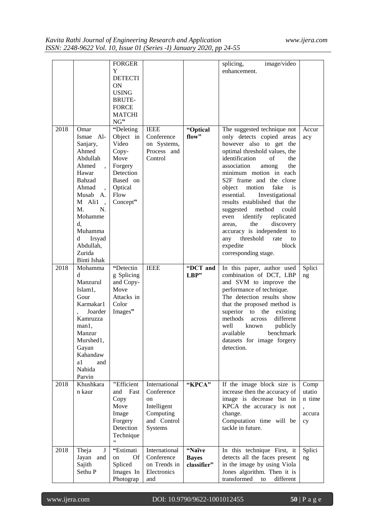|      |                                                                                                                                                                                                                         | <b>FORGER</b><br>Y                                                                                                  |                                                                                         |                                       | image/video<br>splicing,<br>enhancement.                                                                                                                                                                                                                                                                                                                                                                                                                                                                                                                                   |                                               |
|------|-------------------------------------------------------------------------------------------------------------------------------------------------------------------------------------------------------------------------|---------------------------------------------------------------------------------------------------------------------|-----------------------------------------------------------------------------------------|---------------------------------------|----------------------------------------------------------------------------------------------------------------------------------------------------------------------------------------------------------------------------------------------------------------------------------------------------------------------------------------------------------------------------------------------------------------------------------------------------------------------------------------------------------------------------------------------------------------------------|-----------------------------------------------|
|      |                                                                                                                                                                                                                         | <b>DETECTI</b><br><b>ON</b><br><b>USING</b><br>BRUTE-<br><b>FORCE</b><br><b>MATCHI</b><br>NG"                       |                                                                                         |                                       |                                                                                                                                                                                                                                                                                                                                                                                                                                                                                                                                                                            |                                               |
| 2018 | Omar<br>Ismae Al-<br>Sanjary,<br>Ahmed<br>Abdullah<br>Ahmed<br>Hawar<br>Bahzad<br>Ahmad<br>Musab A.<br>M Ali1<br>$\overline{\phantom{a}}$<br>M.<br>N.<br>Mohamme<br>d.<br>Muhamma<br>Irsyad<br>d<br>Abdullah,<br>Zurida | "Deleting<br>Object in<br>Video<br>Copy-<br>Move<br>Forgery<br>Detection<br>Based on<br>Optical<br>Flow<br>Concept" | <b>IEEE</b><br>Conference<br>on Systems,<br>Process and<br>Control                      | "Optical<br>flow"                     | The suggested technique not<br>only detects copied areas<br>however also to get the<br>optimal threshold values, the<br>identification<br>of<br>the<br>association<br>among<br>the<br>minimum motion in each<br>S <sub>2F</sub> frame and the clone<br>object<br>fake<br>motion<br><i>is</i><br>Investigational<br>essential.<br>results established that the<br>method<br>could<br>suggested<br>identify<br>replicated<br>even<br>the<br>discovery<br>areas.<br>accuracy is independent to<br>threshold<br>any<br>rate<br>to<br>expedite<br>block<br>corresponding stage. | Accur<br>acy                                  |
| 2018 | Binti Ishak<br>Mohamma<br>d.<br>Manzurul<br>Islam1,<br>Gour<br>Karmakar1<br>Joarder<br>Kamruzza<br>man1,<br>Manzur<br>Murshed1,<br>Gayan<br>Kahandaw<br>a1<br>and<br>Nahida<br>Parvin                                   | "Detectin<br>g Splicing<br>and Copy-<br>Move<br>Attacks in<br>Color<br>Images"                                      | <b>IEEE</b>                                                                             | "DCT and<br>LBP"                      | In this paper, author used<br>combination of DCT, LBP<br>and SVM to improve the<br>performance of technique.<br>The detection results show<br>that the proposed method is<br>superior to the<br>existing<br>different<br>methods<br>across<br>well<br>publicly<br>known<br>available<br>benchmark<br>datasets for image forgery<br>detection.                                                                                                                                                                                                                              | Splici<br>ng                                  |
| 2018 | Khushkara<br>n kaur                                                                                                                                                                                                     | "Efficient<br>Fast<br>and<br>Copy<br>Move<br>Image<br>Forgery<br>Detection<br>Technique<br>$\bullet$                | International<br>Conference<br>on<br>Intelligent<br>Computing<br>and Control<br>Systems | "KPCA"                                | If the image block size is<br>increase then the accuracy of<br>image is decrease but in<br>KPCA the accuracy is not<br>change.<br>Computation time will be<br>tackle in future.                                                                                                                                                                                                                                                                                                                                                                                            | Comp<br>utatio<br>n time<br>,<br>accura<br>cy |
| 2018 | Theja<br>J<br>Jayan<br>and<br>Sajith<br>Sethu P                                                                                                                                                                         | "Estimati<br>Of<br>on<br>Spliced<br>Images In<br>Photograp                                                          | International<br>Conference<br>on Trends in<br>Electronics<br>and                       | "Naïve<br><b>Bayes</b><br>classifier" | In this technique First, it<br>detects all the faces present<br>in the image by using Viola<br>Jones algorithm. Then it is<br>transformed<br>different<br>to                                                                                                                                                                                                                                                                                                                                                                                                               | Splici<br>ng                                  |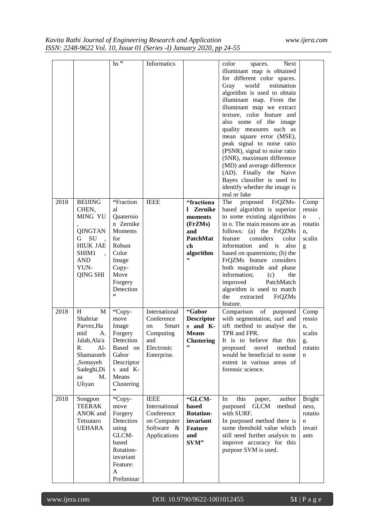| 2018 | <b>BEIJING</b><br>CHEN,<br><b>MING YU</b><br>QINGTAN<br>SU<br>G.<br><b>HIUK JAE</b><br>SHIM1<br><b>AND</b><br>YUN-<br>QING SHI             | $\mathsf{hs}$ "<br>"Fraction<br>al<br>Quaternio<br>n Zernike<br><b>Moments</b><br>for<br>Robust<br>Color<br>Image<br>Copy-<br>Move<br>Forgery<br>Detection<br>, | Informatics<br><b>IEEE</b>                                                                  | "fractiona<br>1 Zernike<br>moments<br>(FrZMs)<br>and<br>PatchMat<br>ch<br>algorithm<br>,, | color<br><b>Next</b><br>spaces.<br>illuminant map is obtained<br>for different color spaces.<br>Gray<br>world<br>estimation<br>algorithm is used to obtain<br>illuminant map. From the<br>illuminant map we extract<br>texture, color feature and<br>also some of the image<br>quality measures such as<br>mean square error (MSE),<br>peak signal to noise ratio<br>(PSNR), signal to noise ratio<br>(SNR), maximum difference<br>(MD) and average difference<br>(AD). Finally the Naive<br>Bayes classifier is used to<br>identify whether the image is<br>real or fake<br>The<br>proposed<br>FrQZMs-<br>based algorithm is superior<br>to some existing algorithms<br>in o. The main reasons are as<br>follows: (a) the FrQZMs<br>considers<br>feature<br>color<br>information<br>and is<br>also<br>based on quaternions; (b) the<br>FrQZMs feature considers<br>both magnitude and phase<br>information;<br>(c)<br>the<br>improved<br>PatchMatch<br>algorithm is used to match<br>the<br>extracted<br>FrQZMs | Comp<br>ressio<br>n<br>rotatio<br>n,<br>scalin<br>g      |
|------|--------------------------------------------------------------------------------------------------------------------------------------------|-----------------------------------------------------------------------------------------------------------------------------------------------------------------|---------------------------------------------------------------------------------------------|-------------------------------------------------------------------------------------------|------------------------------------------------------------------------------------------------------------------------------------------------------------------------------------------------------------------------------------------------------------------------------------------------------------------------------------------------------------------------------------------------------------------------------------------------------------------------------------------------------------------------------------------------------------------------------------------------------------------------------------------------------------------------------------------------------------------------------------------------------------------------------------------------------------------------------------------------------------------------------------------------------------------------------------------------------------------------------------------------------------------|----------------------------------------------------------|
| 2018 | H<br>M<br>Shahriar<br>Parvez, Ha<br>mid<br>А.<br>Jalab, Ala'a<br>R.<br>$Al-$<br>Shamasneh<br>,Somayeh<br>Sadeghi, Di<br>M.<br>aa<br>Uliyan | "Copy-<br>move<br>Image<br>Forgery<br>Detection<br>Based on<br>Gabor<br>Descriptor<br>s and K-<br>Means<br>Clustering<br>,,                                     | International<br>Conference<br>Smart<br>on<br>Computing<br>and<br>Electronic<br>Enterprise. | "Gabor<br><b>Descriptor</b><br>s and K-<br><b>Means</b><br><b>Clustering</b><br>,,        | feature.<br>of<br>Comparison<br>purposed<br>with segmentation, surf and<br>sift method to analyse the<br>TPR and FPR.<br>It is to believe that this<br>proposed<br>novel<br>method<br>would be beneficial to some<br>extent in various areas of<br>forensic science.                                                                                                                                                                                                                                                                                                                                                                                                                                                                                                                                                                                                                                                                                                                                             | Comp<br>ressio<br>n,<br>scalin<br>g,<br>rotatio<br>n     |
| 2018 | Songpon<br><b>TEERAK</b><br>ANOK and<br>Tetsutaro<br><b>UEHARA</b>                                                                         | "Copy-<br>move<br>Forgery<br>Detection<br>using<br>GLCM-<br>based<br>Rotation-<br>invariant<br>Feature:<br>A<br>Preliminar                                      | <b>IEEE</b><br>International<br>Conference<br>on Computer<br>Software &<br>Applications     | "GLCM-<br>based<br><b>Rotation-</b><br>invariant<br><b>Feature</b><br>and<br>SVM"         | this<br>In<br>author<br>paper,<br>purposed<br><b>GLCM</b><br>method<br>with SURF.<br>In purposed method there is<br>some threshold value which<br>still need further analysis to<br>improve accuracy for this<br>purpose SVM is used.                                                                                                                                                                                                                                                                                                                                                                                                                                                                                                                                                                                                                                                                                                                                                                            | <b>Bright</b><br>ness,<br>rotatio<br>n<br>invari<br>ants |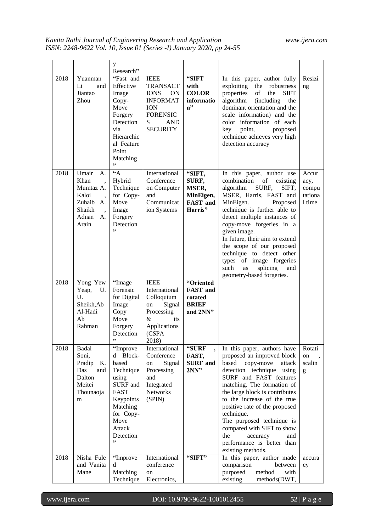|      |                                                                                       | у                                                                                                                                                            |                                                                                                                                               |                                                                     |                                                                                                                                                                                                                                                                                                                                                                                                                                                |                                             |
|------|---------------------------------------------------------------------------------------|--------------------------------------------------------------------------------------------------------------------------------------------------------------|-----------------------------------------------------------------------------------------------------------------------------------------------|---------------------------------------------------------------------|------------------------------------------------------------------------------------------------------------------------------------------------------------------------------------------------------------------------------------------------------------------------------------------------------------------------------------------------------------------------------------------------------------------------------------------------|---------------------------------------------|
|      |                                                                                       | Research"                                                                                                                                                    |                                                                                                                                               |                                                                     |                                                                                                                                                                                                                                                                                                                                                                                                                                                |                                             |
| 2018 | Yuanman<br>Li<br>and<br>Jiantao<br>Zhou                                               | "Fast and<br>Effective<br>Image<br>Copy-<br>Move<br>Forgery<br>Detection<br>via<br>Hierarchic<br>al Feature<br>Point<br>Matching<br>,,                       | <b>IEEE</b><br><b>TRANSACT</b><br><b>IONS</b><br>ON<br><b>INFORMAT</b><br><b>ION</b><br><b>FORENSIC</b><br>S<br><b>AND</b><br><b>SECURITY</b> | "SIFT<br>with<br><b>COLOR</b><br>informatio<br>n"                   | In this paper, author fully<br>exploiting<br>the<br>robustness<br>of<br>the<br><b>SIFT</b><br>properties<br>algorithm<br><i>(including)</i><br>the<br>dominant orientation and the<br>scale information) and the<br>color information of each<br>key<br>point,<br>proposed<br>technique achieves very high<br>detection accuracy                                                                                                               | Resizi<br>ng                                |
| 2018 | Umair<br>А.<br>Khan<br>Mumtaz A.<br>Kaloi<br>Zuhaib A.<br>Shaikh<br>Adnan A.<br>Arain | A<br>Hybrid<br>Technique<br>for Copy-<br>Move<br>Image<br>Forgery<br>Detection<br>,,                                                                         | International<br>Conference<br>on Computer<br>and<br>Communicat<br>ion Systems                                                                | "SIFT,<br>SURF,<br>MSER,<br>MinEigen,<br><b>FAST</b> and<br>Harris" | In this paper, author use<br>combination<br>of<br>existing<br>algorithm<br>SURF,<br>SIFT.<br>MSER, Harris, FAST and<br>MinEigen.<br>Proposed<br>technique is further able to<br>detect multiple instances of<br>copy-move forgeries in a<br>given image.<br>In future, their aim to extend<br>the scope of our proposed<br>technique to detect other<br>types of image forgeries<br>such<br>splicing<br>as<br>and<br>geometry-based forgeries. | Accur<br>acy,<br>compu<br>tationa<br>1 time |
| 2018 | Yong Yew<br>Yeap,<br>U.<br>U.<br>Sheikh, Ab<br>Al-Hadi<br>Ab<br>Rahman                | "Image<br>Forensic<br>for Digital<br>Image<br>Copy<br>Move<br>Forgery<br>Detection                                                                           | <b>IEEE</b><br>International<br>Colloquium<br>Signal<br>on<br>Processing<br>&<br>its<br>Applications<br>(CSPA<br>2018)                        | "Oriented<br><b>FAST</b> and<br>rotated<br><b>BRIEF</b><br>and 2NN" |                                                                                                                                                                                                                                                                                                                                                                                                                                                |                                             |
| 2018 | Badal<br>Soni,<br>Pradip<br>К.<br>Das<br>and<br>Dalton<br>Meitei<br>Thounaoja<br>m    | "Improve<br>Block-<br>d<br>based<br>Technique<br>using<br>SURF and<br><b>FAST</b><br>Keypoints<br>Matching<br>for Copy-<br>Move<br>Attack<br>Detection<br>,, | International<br>Conference<br>Signal<br>on<br>Processing<br>and<br>Integrated<br><b>Networks</b><br>(SPIN)                                   | "SURF<br>FAST,<br><b>SURF</b> and<br>2NN"                           | In this paper, authors have<br>proposed an improved block<br>based<br>copy-move<br>attack<br>detection technique using<br>SURF and FAST features<br>matching. The formation of<br>the large block is contributes<br>to the increase of the true<br>positive rate of the proposed<br>technique.<br>The purposed technique is<br>compared with SIFT to show<br>the<br>accuracy<br>and<br>performance is better than<br>existing methods.         | Rotati<br>on<br>scalin<br>g                 |
| 2018 | Nisha Fule<br>and Vanita<br>Mane                                                      | "Improve<br>d<br>Matching<br>Technique                                                                                                                       | International<br>conference<br>on<br>Electronics,                                                                                             | "SIFT"                                                              | In this paper, author made<br>comparison<br>between<br>method<br>purposed<br>with<br>existing<br>methods(DWT,                                                                                                                                                                                                                                                                                                                                  | accura<br>cy                                |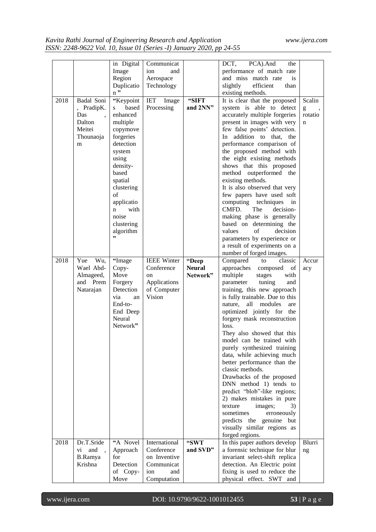|      |                   | in Digital               | Communicat          |               | DCT,<br>PCA).And<br>the                                       |                                                                                                                                                                                                                                                                                                                                                                                                                                           |
|------|-------------------|--------------------------|---------------------|---------------|---------------------------------------------------------------|-------------------------------------------------------------------------------------------------------------------------------------------------------------------------------------------------------------------------------------------------------------------------------------------------------------------------------------------------------------------------------------------------------------------------------------------|
|      |                   | Image                    | and<br>ion          |               | performance of match rate<br>and miss match rate<br><i>is</i> |                                                                                                                                                                                                                                                                                                                                                                                                                                           |
|      |                   | Region                   | Aerospace           |               | efficient<br>than                                             |                                                                                                                                                                                                                                                                                                                                                                                                                                           |
|      |                   | Duplicatio<br>$n$ "      | Technology          |               | slightly<br>existing methods.                                 |                                                                                                                                                                                                                                                                                                                                                                                                                                           |
| 2018 | Badal Soni        |                          | IET                 | "SIFT         | It is clear that the proposed                                 | Scalin                                                                                                                                                                                                                                                                                                                                                                                                                                    |
|      |                   | "Keypoint<br>based       | Image<br>Processing | and 2NN"      | system is able to detect                                      |                                                                                                                                                                                                                                                                                                                                                                                                                                           |
|      | , PradipK.<br>Das | S.<br>enhanced           |                     |               |                                                               | $\mathbf{g}% _{T}=\mathbf{g}_{T}=\mathbf{g}_{T}=\mathbf{g}_{T}=\mathbf{g}_{T}=\mathbf{g}_{T}=\mathbf{g}_{T}=\mathbf{g}_{T}=\mathbf{g}_{T}=\mathbf{g}_{T}=\mathbf{g}_{T}=\mathbf{g}_{T}=\mathbf{g}_{T}=\mathbf{g}_{T}=\mathbf{g}_{T}=\mathbf{g}_{T}=\mathbf{g}_{T}=\mathbf{g}_{T}=\mathbf{g}_{T}=\mathbf{g}_{T}=\mathbf{g}_{T}=\mathbf{g}_{T}=\mathbf{g}_{T}=\mathbf{g}_{T}=\mathbf{g}_{T}=\mathbf{g}_{T}=\mathbf{g}_{T}=\math$<br>rotatio |
|      | Dalton            |                          |                     |               | accurately multiple forgeries                                 |                                                                                                                                                                                                                                                                                                                                                                                                                                           |
|      | Meitei            | multiple                 |                     |               | present in images with very                                   | n                                                                                                                                                                                                                                                                                                                                                                                                                                         |
|      |                   | copymove<br>forgeries    |                     |               | few false points' detection.<br>In addition to that, the      |                                                                                                                                                                                                                                                                                                                                                                                                                                           |
|      | Thounaoja         | detection                |                     |               | performance comparison of                                     |                                                                                                                                                                                                                                                                                                                                                                                                                                           |
|      | m                 |                          |                     |               | the proposed method with                                      |                                                                                                                                                                                                                                                                                                                                                                                                                                           |
|      |                   | system                   |                     |               | the eight existing methods                                    |                                                                                                                                                                                                                                                                                                                                                                                                                                           |
|      |                   | using                    |                     |               |                                                               |                                                                                                                                                                                                                                                                                                                                                                                                                                           |
|      |                   | density-<br>based        |                     |               | shows that this proposed<br>method outperformed the           |                                                                                                                                                                                                                                                                                                                                                                                                                                           |
|      |                   | spatial                  |                     |               | existing methods.                                             |                                                                                                                                                                                                                                                                                                                                                                                                                                           |
|      |                   |                          |                     |               | It is also observed that very                                 |                                                                                                                                                                                                                                                                                                                                                                                                                                           |
|      |                   | clustering<br>$\sigma$ f |                     |               | few papers have used soft                                     |                                                                                                                                                                                                                                                                                                                                                                                                                                           |
|      |                   | applicatio               |                     |               | computing techniques<br>in                                    |                                                                                                                                                                                                                                                                                                                                                                                                                                           |
|      |                   | with<br>n                |                     |               | CMFD.<br>The<br>decision-                                     |                                                                                                                                                                                                                                                                                                                                                                                                                                           |
|      |                   | noise                    |                     |               | making phase is generally                                     |                                                                                                                                                                                                                                                                                                                                                                                                                                           |
|      |                   | clustering               |                     |               | based on determining the                                      |                                                                                                                                                                                                                                                                                                                                                                                                                                           |
|      |                   | algorithm                |                     |               | of<br>values<br>decision                                      |                                                                                                                                                                                                                                                                                                                                                                                                                                           |
|      |                   | ,,                       |                     |               | parameters by experience or                                   |                                                                                                                                                                                                                                                                                                                                                                                                                                           |
|      |                   |                          |                     |               | a result of experiments on a                                  |                                                                                                                                                                                                                                                                                                                                                                                                                                           |
|      |                   |                          |                     |               | number of forged images.                                      |                                                                                                                                                                                                                                                                                                                                                                                                                                           |
| 2018 | Yue<br>Wu,        | "Image                   | <b>IEEE Winter</b>  | "Deep         | Compared<br>classic<br>to                                     | Accur                                                                                                                                                                                                                                                                                                                                                                                                                                     |
|      | Wael Abd-         | Copy-                    | Conference          | <b>Neural</b> | approaches<br>composed<br>of                                  | acy                                                                                                                                                                                                                                                                                                                                                                                                                                       |
|      | Almageed,         | Move                     | <sub>on</sub>       | Network"      | multiple<br>with<br>stages                                    |                                                                                                                                                                                                                                                                                                                                                                                                                                           |
|      | and Prem          | Forgery                  | Applications        |               | parameter<br>tuning<br>and                                    |                                                                                                                                                                                                                                                                                                                                                                                                                                           |
|      | Natarajan         | Detection                | of Computer         |               | training, this new approach                                   |                                                                                                                                                                                                                                                                                                                                                                                                                                           |
|      |                   | via<br>an                | Vision              |               | is fully trainable. Due to this                               |                                                                                                                                                                                                                                                                                                                                                                                                                                           |
|      |                   | End-to-                  |                     |               | nature,<br>all<br>modules<br>are                              |                                                                                                                                                                                                                                                                                                                                                                                                                                           |
|      |                   | End Deep                 |                     |               | optimized jointly for the                                     |                                                                                                                                                                                                                                                                                                                                                                                                                                           |
|      |                   | Neural                   |                     |               | forgery mask reconstruction                                   |                                                                                                                                                                                                                                                                                                                                                                                                                                           |
|      |                   | Network"                 |                     |               | loss.                                                         |                                                                                                                                                                                                                                                                                                                                                                                                                                           |
|      |                   |                          |                     |               | They also showed that this                                    |                                                                                                                                                                                                                                                                                                                                                                                                                                           |
|      |                   |                          |                     |               | model can be trained with                                     |                                                                                                                                                                                                                                                                                                                                                                                                                                           |
|      |                   |                          |                     |               | purely synthesized training                                   |                                                                                                                                                                                                                                                                                                                                                                                                                                           |
|      |                   |                          |                     |               | data, while achieving much                                    |                                                                                                                                                                                                                                                                                                                                                                                                                                           |
|      |                   |                          |                     |               | better performance than the                                   |                                                                                                                                                                                                                                                                                                                                                                                                                                           |
|      |                   |                          |                     |               | classic methods.                                              |                                                                                                                                                                                                                                                                                                                                                                                                                                           |
|      |                   |                          |                     |               | Drawbacks of the proposed                                     |                                                                                                                                                                                                                                                                                                                                                                                                                                           |
|      |                   |                          |                     |               | DNN method 1) tends to                                        |                                                                                                                                                                                                                                                                                                                                                                                                                                           |
|      |                   |                          |                     |               | predict "blob"-like regions;                                  |                                                                                                                                                                                                                                                                                                                                                                                                                                           |
|      |                   |                          |                     |               | 2) makes mistakes in pure                                     |                                                                                                                                                                                                                                                                                                                                                                                                                                           |
|      |                   |                          |                     |               | texture<br>images;<br>3)                                      |                                                                                                                                                                                                                                                                                                                                                                                                                                           |
|      |                   |                          |                     |               | sometimes<br>erroneously                                      |                                                                                                                                                                                                                                                                                                                                                                                                                                           |
|      |                   |                          |                     |               | predicts the genuine but                                      |                                                                                                                                                                                                                                                                                                                                                                                                                                           |
|      |                   |                          |                     |               | visually similar regions as                                   |                                                                                                                                                                                                                                                                                                                                                                                                                                           |
|      |                   |                          |                     |               | forged regions.                                               |                                                                                                                                                                                                                                                                                                                                                                                                                                           |
| 2018 | Dr.T.Sride        | "A Novel                 | International       | "SWT          | In this paper authors develop                                 | Blurri                                                                                                                                                                                                                                                                                                                                                                                                                                    |
|      | and<br>vi.        | Approach                 | Conference          | and SVD"      | a forensic technique for blur                                 | ng                                                                                                                                                                                                                                                                                                                                                                                                                                        |
|      | B.Ramya           | for                      | on Inventive        |               | invariant select-shift replica                                |                                                                                                                                                                                                                                                                                                                                                                                                                                           |
|      | Krishna           | Detection                | Communicat          |               | detection. An Electric point                                  |                                                                                                                                                                                                                                                                                                                                                                                                                                           |
|      |                   | of Copy-                 | ion<br>and          |               | fixing is used to reduce the                                  |                                                                                                                                                                                                                                                                                                                                                                                                                                           |
|      |                   | Move                     | Computation         |               | physical effect. SWT and                                      |                                                                                                                                                                                                                                                                                                                                                                                                                                           |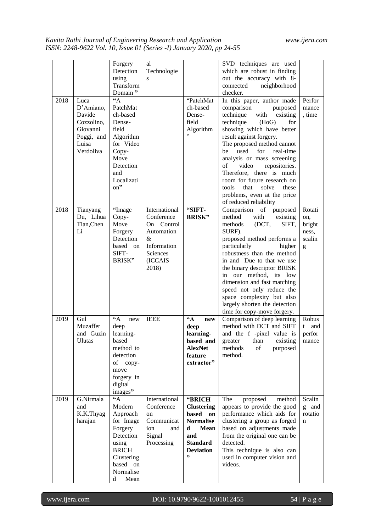|      |                                                                                           | Forgery<br>Detection<br>using<br>Transform<br>Domain"                                                                                                | al<br>Technologie<br>S                                                                                                                |                                                                                                                                        | SVD techniques are used<br>which are robust in finding<br>out the accuracy with 8-<br>neighborhood<br>connected<br>checker.                                                                                                                                                                                                                                                                                                                                      |                                                 |
|------|-------------------------------------------------------------------------------------------|------------------------------------------------------------------------------------------------------------------------------------------------------|---------------------------------------------------------------------------------------------------------------------------------------|----------------------------------------------------------------------------------------------------------------------------------------|------------------------------------------------------------------------------------------------------------------------------------------------------------------------------------------------------------------------------------------------------------------------------------------------------------------------------------------------------------------------------------------------------------------------------------------------------------------|-------------------------------------------------|
| 2018 | Luca<br>D'Amiano,<br>Davide<br>Cozzolino,<br>Giovanni<br>Poggi, and<br>Luisa<br>Verdoliva | $44^{\circ}$<br>PatchMat<br>ch-based<br>Dense-<br>field<br>Algorithm<br>for Video<br>Copy-<br>Move<br>Detection<br>and<br>Localizati<br>on"          |                                                                                                                                       | "PatchMat<br>ch-based<br>Dense-<br>field<br>Algorithm<br>,,                                                                            | In this paper, author made<br>comparison<br>purposed<br>technique<br>with<br>existing<br>technique<br>(HoG)<br>for<br>showing which have better<br>result against forgery.<br>The proposed method cannot<br>used<br>for<br>real-time<br>be<br>analysis or mass screening<br>of<br>video<br>repositories.<br>Therefore, there is much<br>room for future research on<br>that<br>tools.<br>solve<br>these<br>problems, even at the price<br>of reduced reliability | Perfor<br>mance<br>, time                       |
| 2018 | Tianyang<br>Du, Lihua<br>Tian, Chen<br>Li                                                 | "Image<br>Copy-<br>Move<br>Forgery<br>Detection<br>based on<br>SIFT-<br>BRISK"                                                                       | International<br>Conference<br>On Control<br>Automation<br>$\mathcal{R}_{\mathcal{I}}$<br>Information<br>Sciences<br>(ICCAIS<br>2018) | "SIFT-<br><b>BRISK</b> "                                                                                                               | Comparison of purposed<br>method<br>with<br>existing<br>(DCT,<br>SIFT,<br>methods<br>SURF).<br>proposed method performs a<br>particularly<br>higher<br>robustness than the method<br>in and Due to that we use<br>the binary descriptor BRISK<br>in our method, its low<br>dimension and fast matching<br>speed not only reduce the<br>space complexity but also<br>largely shorten the detection<br>time for copy-move forgery.                                 | Rotati<br>on,<br>bright<br>ness,<br>scalin<br>g |
| 2019 | Gul<br>Muzaffer<br>and Guzin<br><b>Ulutas</b>                                             | $A^*A$<br>new<br>deep<br>learning-<br>based<br>method to<br>detection<br>of<br>$copy-$<br>move<br>forgery in<br>digital<br>images"                   | <b>IEEE</b>                                                                                                                           | $\mathbf{A}$<br>new<br>deep<br>learning-<br>based and<br><b>AlexNet</b><br>feature<br>extractor"                                       | Comparison of deep learning<br>method with DCT and SIFT<br>and the f-pixel value is<br>existing<br>greater<br>than<br>methods<br>of<br>purposed<br>method.                                                                                                                                                                                                                                                                                                       | Robus<br>and<br>t<br>perfor<br>mance            |
| 2019 | G.Nirmala<br>and<br>K.K.Thyag<br>harajan                                                  | $\mathbf{A}$<br>Modern<br>Approach<br>for Image<br>Forgery<br>Detection<br>using<br><b>BRICH</b><br>Clustering<br>based on<br>Normalise<br>Mean<br>d | International<br>Conference<br>on<br>Communicat<br>ion<br>and<br>Signal<br>Processing                                                 | "BRICH<br><b>Clustering</b><br>based<br>on<br><b>Normalise</b><br>d<br><b>Mean</b><br>and<br><b>Standard</b><br><b>Deviation</b><br>,, | The<br>proposed<br>method<br>appears to provide the good<br>performance which aids for<br>clustering a group as forged<br>based on adjustments made<br>from the original one can be<br>detected.<br>This technique is also can<br>used in computer vision and<br>videos.                                                                                                                                                                                         | Scalin<br>g and<br>rotatio<br>$\mathbf n$       |